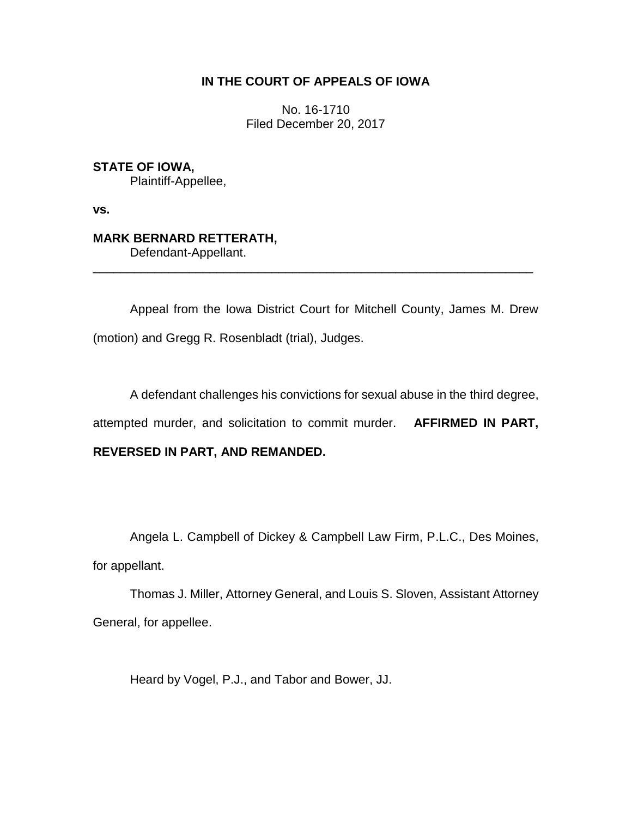### **IN THE COURT OF APPEALS OF IOWA**

No. 16-1710 Filed December 20, 2017

**STATE OF IOWA,** Plaintiff-Appellee,

**vs.**

# **MARK BERNARD RETTERATH,**

Defendant-Appellant.

Appeal from the Iowa District Court for Mitchell County, James M. Drew (motion) and Gregg R. Rosenbladt (trial), Judges.

\_\_\_\_\_\_\_\_\_\_\_\_\_\_\_\_\_\_\_\_\_\_\_\_\_\_\_\_\_\_\_\_\_\_\_\_\_\_\_\_\_\_\_\_\_\_\_\_\_\_\_\_\_\_\_\_\_\_\_\_\_\_\_\_

A defendant challenges his convictions for sexual abuse in the third degree,

attempted murder, and solicitation to commit murder. **AFFIRMED IN PART,** 

## **REVERSED IN PART, AND REMANDED.**

Angela L. Campbell of Dickey & Campbell Law Firm, P.L.C., Des Moines,

for appellant.

Thomas J. Miller, Attorney General, and Louis S. Sloven, Assistant Attorney General, for appellee.

Heard by Vogel, P.J., and Tabor and Bower, JJ.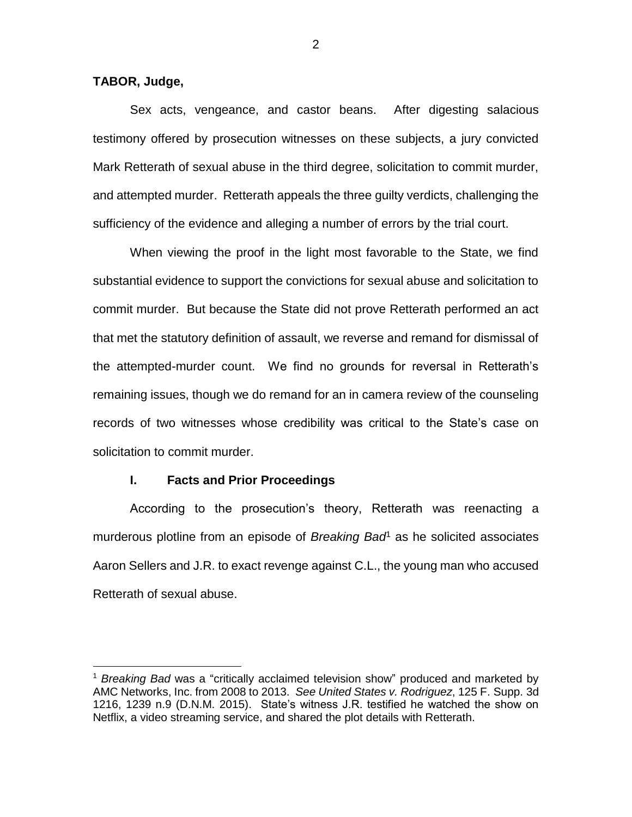**TABOR, Judge,**

 $\overline{a}$ 

Sex acts, vengeance, and castor beans. After digesting salacious testimony offered by prosecution witnesses on these subjects, a jury convicted Mark Retterath of sexual abuse in the third degree, solicitation to commit murder, and attempted murder. Retterath appeals the three guilty verdicts, challenging the sufficiency of the evidence and alleging a number of errors by the trial court.

When viewing the proof in the light most favorable to the State, we find substantial evidence to support the convictions for sexual abuse and solicitation to commit murder. But because the State did not prove Retterath performed an act that met the statutory definition of assault, we reverse and remand for dismissal of the attempted-murder count. We find no grounds for reversal in Retterath's remaining issues, though we do remand for an in camera review of the counseling records of two witnesses whose credibility was critical to the State's case on solicitation to commit murder.

### **I. Facts and Prior Proceedings**

According to the prosecution's theory, Retterath was reenacting a murderous plotline from an episode of *Breaking Bad*<sup>1</sup> as he solicited associates Aaron Sellers and J.R. to exact revenge against C.L., the young man who accused Retterath of sexual abuse.

2

<sup>1</sup> *Breaking Bad* was a "critically acclaimed television show" produced and marketed by AMC Networks, Inc. from 2008 to 2013. *See United States v. Rodriguez*, 125 F. Supp. 3d 1216, 1239 n.9 (D.N.M. 2015). State's witness J.R. testified he watched the show on Netflix, a video streaming service, and shared the plot details with Retterath.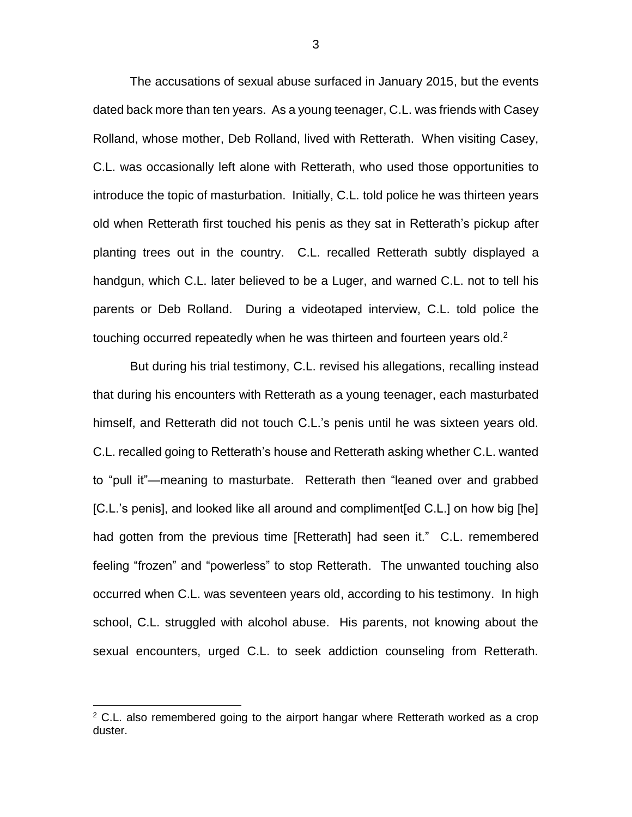The accusations of sexual abuse surfaced in January 2015, but the events dated back more than ten years. As a young teenager, C.L. was friends with Casey Rolland, whose mother, Deb Rolland, lived with Retterath. When visiting Casey, C.L. was occasionally left alone with Retterath, who used those opportunities to introduce the topic of masturbation. Initially, C.L. told police he was thirteen years old when Retterath first touched his penis as they sat in Retterath's pickup after planting trees out in the country. C.L. recalled Retterath subtly displayed a handgun, which C.L. later believed to be a Luger, and warned C.L. not to tell his parents or Deb Rolland. During a videotaped interview, C.L. told police the touching occurred repeatedly when he was thirteen and fourteen years old.<sup>2</sup>

But during his trial testimony, C.L. revised his allegations, recalling instead that during his encounters with Retterath as a young teenager, each masturbated himself, and Retterath did not touch C.L.'s penis until he was sixteen years old. C.L. recalled going to Retterath's house and Retterath asking whether C.L. wanted to "pull it"—meaning to masturbate. Retterath then "leaned over and grabbed [C.L.'s penis], and looked like all around and compliment[ed C.L.] on how big [he] had gotten from the previous time [Retterath] had seen it." C.L. remembered feeling "frozen" and "powerless" to stop Retterath. The unwanted touching also occurred when C.L. was seventeen years old, according to his testimony. In high school, C.L. struggled with alcohol abuse. His parents, not knowing about the sexual encounters, urged C.L. to seek addiction counseling from Retterath.

 $\overline{a}$ 

 $2$  C.L. also remembered going to the airport hangar where Retterath worked as a crop duster.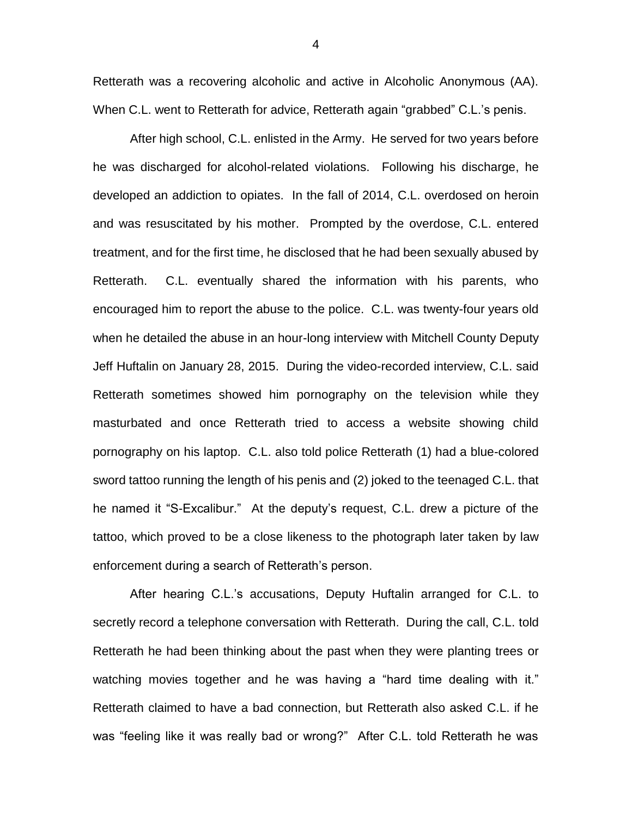Retterath was a recovering alcoholic and active in Alcoholic Anonymous (AA). When C.L. went to Retterath for advice, Retterath again "grabbed" C.L.'s penis.

After high school, C.L. enlisted in the Army. He served for two years before he was discharged for alcohol-related violations. Following his discharge, he developed an addiction to opiates. In the fall of 2014, C.L. overdosed on heroin and was resuscitated by his mother. Prompted by the overdose, C.L. entered treatment, and for the first time, he disclosed that he had been sexually abused by Retterath. C.L. eventually shared the information with his parents, who encouraged him to report the abuse to the police. C.L. was twenty-four years old when he detailed the abuse in an hour-long interview with Mitchell County Deputy Jeff Huftalin on January 28, 2015. During the video-recorded interview, C.L. said Retterath sometimes showed him pornography on the television while they masturbated and once Retterath tried to access a website showing child pornography on his laptop. C.L. also told police Retterath (1) had a blue-colored sword tattoo running the length of his penis and (2) joked to the teenaged C.L. that he named it "S-Excalibur." At the deputy's request, C.L. drew a picture of the tattoo, which proved to be a close likeness to the photograph later taken by law enforcement during a search of Retterath's person.

After hearing C.L.'s accusations, Deputy Huftalin arranged for C.L. to secretly record a telephone conversation with Retterath. During the call, C.L. told Retterath he had been thinking about the past when they were planting trees or watching movies together and he was having a "hard time dealing with it." Retterath claimed to have a bad connection, but Retterath also asked C.L. if he was "feeling like it was really bad or wrong?" After C.L. told Retterath he was

4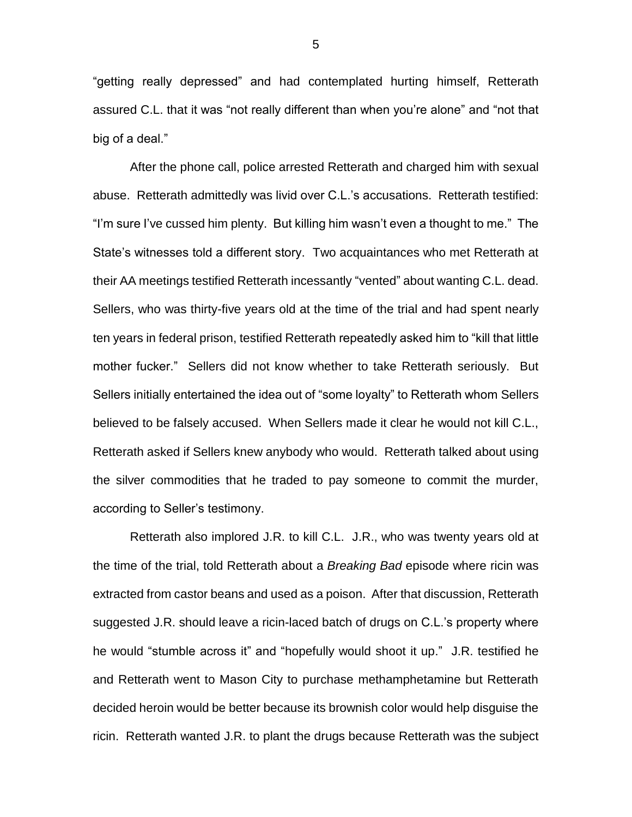"getting really depressed" and had contemplated hurting himself, Retterath assured C.L. that it was "not really different than when you're alone" and "not that big of a deal."

After the phone call, police arrested Retterath and charged him with sexual abuse. Retterath admittedly was livid over C.L.'s accusations. Retterath testified: "I'm sure I've cussed him plenty. But killing him wasn't even a thought to me." The State's witnesses told a different story. Two acquaintances who met Retterath at their AA meetings testified Retterath incessantly "vented" about wanting C.L. dead. Sellers, who was thirty-five years old at the time of the trial and had spent nearly ten years in federal prison, testified Retterath repeatedly asked him to "kill that little mother fucker." Sellers did not know whether to take Retterath seriously. But Sellers initially entertained the idea out of "some loyalty" to Retterath whom Sellers believed to be falsely accused. When Sellers made it clear he would not kill C.L., Retterath asked if Sellers knew anybody who would. Retterath talked about using the silver commodities that he traded to pay someone to commit the murder, according to Seller's testimony.

Retterath also implored J.R. to kill C.L. J.R., who was twenty years old at the time of the trial, told Retterath about a *Breaking Bad* episode where ricin was extracted from castor beans and used as a poison. After that discussion, Retterath suggested J.R. should leave a ricin-laced batch of drugs on C.L.'s property where he would "stumble across it" and "hopefully would shoot it up." J.R. testified he and Retterath went to Mason City to purchase methamphetamine but Retterath decided heroin would be better because its brownish color would help disguise the ricin. Retterath wanted J.R. to plant the drugs because Retterath was the subject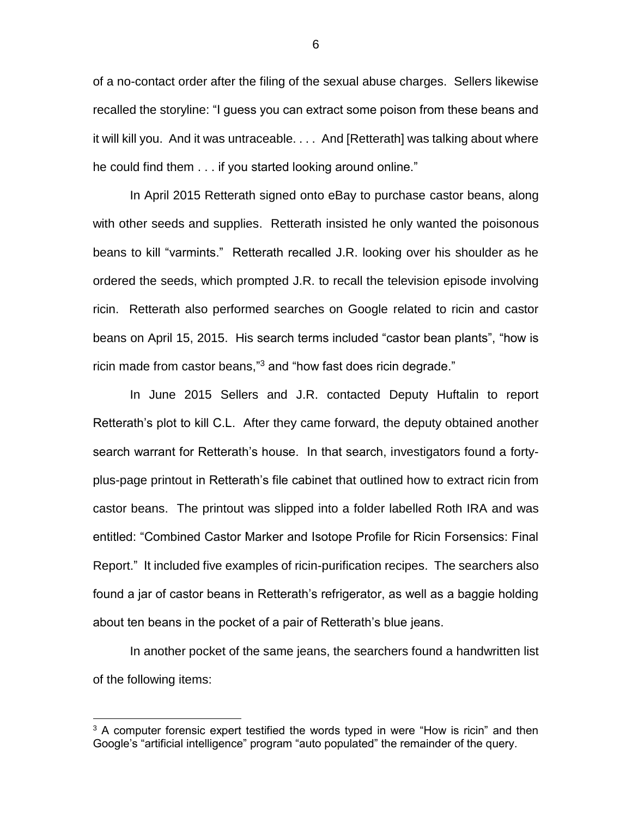of a no-contact order after the filing of the sexual abuse charges. Sellers likewise recalled the storyline: "I guess you can extract some poison from these beans and it will kill you. And it was untraceable. . . . And [Retterath] was talking about where he could find them . . . if you started looking around online."

In April 2015 Retterath signed onto eBay to purchase castor beans, along with other seeds and supplies. Retterath insisted he only wanted the poisonous beans to kill "varmints." Retterath recalled J.R. looking over his shoulder as he ordered the seeds, which prompted J.R. to recall the television episode involving ricin. Retterath also performed searches on Google related to ricin and castor beans on April 15, 2015. His search terms included "castor bean plants", "how is ricin made from castor beans,"<sup>3</sup> and "how fast does ricin degrade."

In June 2015 Sellers and J.R. contacted Deputy Huftalin to report Retterath's plot to kill C.L. After they came forward, the deputy obtained another search warrant for Retterath's house. In that search, investigators found a fortyplus-page printout in Retterath's file cabinet that outlined how to extract ricin from castor beans. The printout was slipped into a folder labelled Roth IRA and was entitled: "Combined Castor Marker and Isotope Profile for Ricin Forsensics: Final Report." It included five examples of ricin-purification recipes. The searchers also found a jar of castor beans in Retterath's refrigerator, as well as a baggie holding about ten beans in the pocket of a pair of Retterath's blue jeans.

In another pocket of the same jeans, the searchers found a handwritten list of the following items:

 $\overline{a}$ 

<sup>&</sup>lt;sup>3</sup> A computer forensic expert testified the words typed in were "How is ricin" and then Google's "artificial intelligence" program "auto populated" the remainder of the query.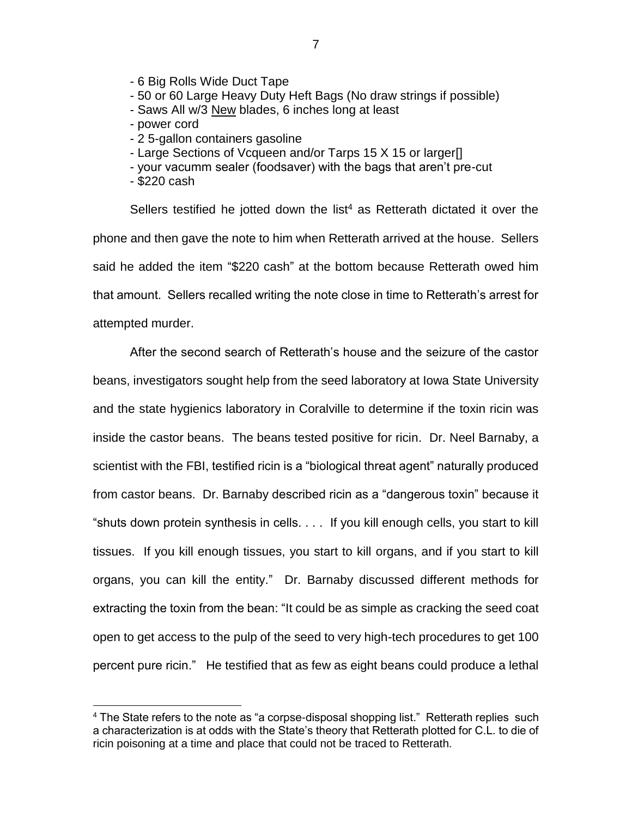- 6 Big Rolls Wide Duct Tape

- 50 or 60 Large Heavy Duty Heft Bags (No draw strings if possible)

- Saws All w/3 New blades, 6 inches long at least
- power cord
- 2 5-gallon containers gasoline
- Large Sections of Vcqueen and/or Tarps 15 X 15 or larger[]
- your vacumm sealer (foodsaver) with the bags that aren't pre-cut
- \$220 cash

 $\overline{a}$ 

Sellers testified he jotted down the list<sup>4</sup> as Retterath dictated it over the phone and then gave the note to him when Retterath arrived at the house. Sellers said he added the item "\$220 cash" at the bottom because Retterath owed him that amount. Sellers recalled writing the note close in time to Retterath's arrest for attempted murder.

After the second search of Retterath's house and the seizure of the castor beans, investigators sought help from the seed laboratory at Iowa State University and the state hygienics laboratory in Coralville to determine if the toxin ricin was inside the castor beans. The beans tested positive for ricin. Dr. Neel Barnaby, a scientist with the FBI, testified ricin is a "biological threat agent" naturally produced from castor beans. Dr. Barnaby described ricin as a "dangerous toxin" because it "shuts down protein synthesis in cells. . . . If you kill enough cells, you start to kill tissues. If you kill enough tissues, you start to kill organs, and if you start to kill organs, you can kill the entity." Dr. Barnaby discussed different methods for extracting the toxin from the bean: "It could be as simple as cracking the seed coat open to get access to the pulp of the seed to very high-tech procedures to get 100 percent pure ricin." He testified that as few as eight beans could produce a lethal

 $4$  The State refers to the note as "a corpse-disposal shopping list." Retterath replies such a characterization is at odds with the State's theory that Retterath plotted for C.L. to die of ricin poisoning at a time and place that could not be traced to Retterath.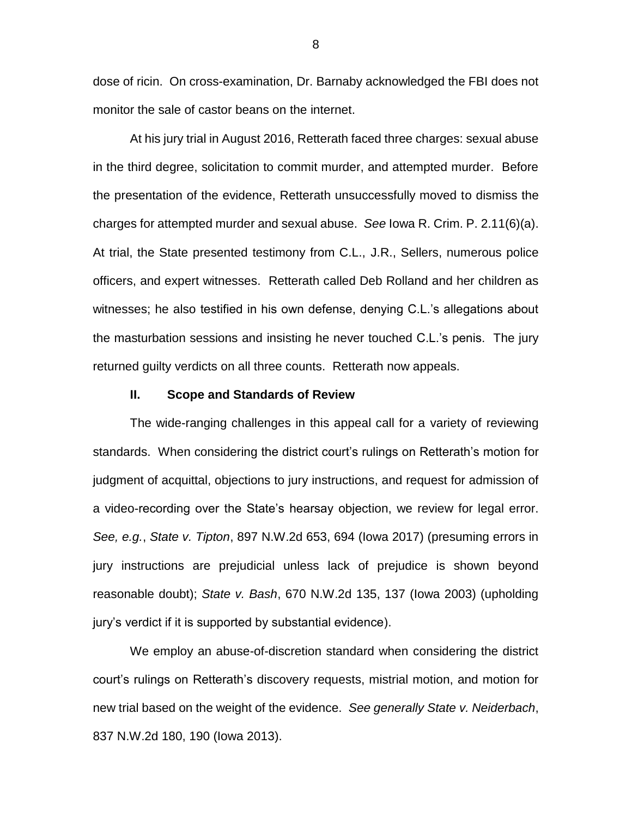dose of ricin. On cross-examination, Dr. Barnaby acknowledged the FBI does not monitor the sale of castor beans on the internet.

At his jury trial in August 2016, Retterath faced three charges: sexual abuse in the third degree, solicitation to commit murder, and attempted murder. Before the presentation of the evidence, Retterath unsuccessfully moved to dismiss the charges for attempted murder and sexual abuse. *See* Iowa R. Crim. P. 2.11(6)(a). At trial, the State presented testimony from C.L., J.R., Sellers, numerous police officers, and expert witnesses. Retterath called Deb Rolland and her children as witnesses; he also testified in his own defense, denying C.L.'s allegations about the masturbation sessions and insisting he never touched C.L.'s penis. The jury returned guilty verdicts on all three counts. Retterath now appeals.

### **II. Scope and Standards of Review**

The wide-ranging challenges in this appeal call for a variety of reviewing standards. When considering the district court's rulings on Retterath's motion for judgment of acquittal, objections to jury instructions, and request for admission of a video-recording over the State's hearsay objection, we review for legal error. *See, e.g.*, *State v. Tipton*, 897 N.W.2d 653, 694 (Iowa 2017) (presuming errors in jury instructions are prejudicial unless lack of prejudice is shown beyond reasonable doubt); *State v. Bash*, 670 N.W.2d 135, 137 (Iowa 2003) (upholding jury's verdict if it is supported by substantial evidence).

We employ an abuse-of-discretion standard when considering the district court's rulings on Retterath's discovery requests, mistrial motion, and motion for new trial based on the weight of the evidence. *See generally State v. Neiderbach*, 837 N.W.2d 180, 190 (Iowa 2013).

8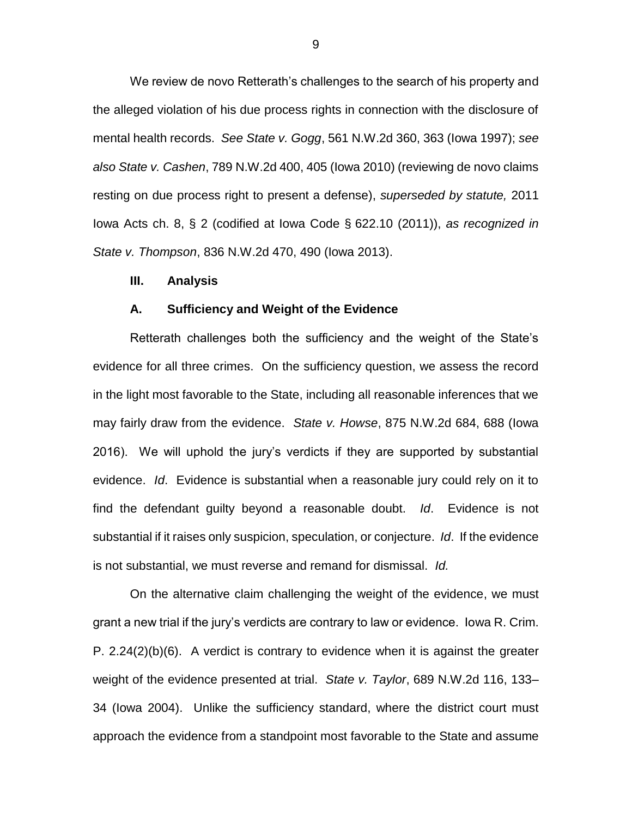We review de novo Retterath's challenges to the search of his property and the alleged violation of his due process rights in connection with the disclosure of mental health records. *See State v. Gogg*, 561 N.W.2d 360, 363 (Iowa 1997); *see also State v. Cashen*, 789 N.W.2d 400, 405 (Iowa 2010) (reviewing de novo claims resting on due process right to present a defense), *superseded by statute,* 2011 Iowa Acts ch. 8, § 2 (codified at Iowa Code § 622.10 (2011)), *as recognized in State v. Thompson*, 836 N.W.2d 470, 490 (Iowa 2013).

### **III. Analysis**

#### **A. Sufficiency and Weight of the Evidence**

Retterath challenges both the sufficiency and the weight of the State's evidence for all three crimes. On the sufficiency question, we assess the record in the light most favorable to the State, including all reasonable inferences that we may fairly draw from the evidence. *State v. Howse*, 875 N.W.2d 684, 688 (Iowa 2016). We will uphold the jury's verdicts if they are supported by substantial evidence. *Id*. Evidence is substantial when a reasonable jury could rely on it to find the defendant guilty beyond a reasonable doubt. *Id*. Evidence is not substantial if it raises only suspicion, speculation, or conjecture. *Id*. If the evidence is not substantial, we must reverse and remand for dismissal. *Id.*

On the alternative claim challenging the weight of the evidence, we must grant a new trial if the jury's verdicts are contrary to law or evidence. Iowa R. Crim. P. 2.24(2)(b)(6). A verdict is contrary to evidence when it is against the greater weight of the evidence presented at trial. *State v. Taylor*, 689 N.W.2d 116, 133– 34 (Iowa 2004). Unlike the sufficiency standard, where the district court must approach the evidence from a standpoint most favorable to the State and assume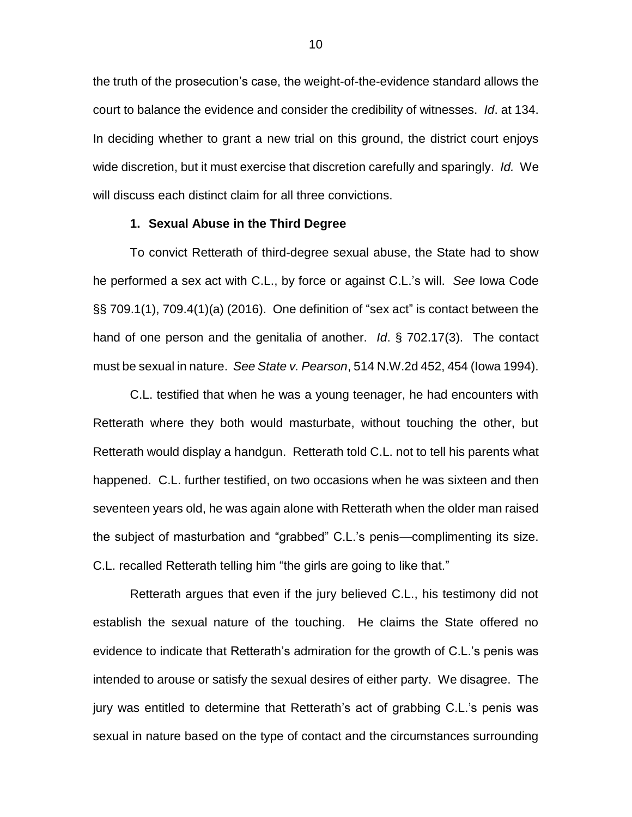the truth of the prosecution's case, the weight-of-the-evidence standard allows the court to balance the evidence and consider the credibility of witnesses. *Id*. at 134. In deciding whether to grant a new trial on this ground, the district court enjoys wide discretion, but it must exercise that discretion carefully and sparingly. *Id.* We will discuss each distinct claim for all three convictions.

### **1. Sexual Abuse in the Third Degree**

To convict Retterath of third-degree sexual abuse, the State had to show he performed a sex act with C.L., by force or against C.L.'s will. *See* Iowa Code §§ 709.1(1), 709.4(1)(a) (2016). One definition of "sex act" is contact between the hand of one person and the genitalia of another. *Id*. § 702.17(3). The contact must be sexual in nature. *See State v. Pearson*, 514 N.W.2d 452, 454 (Iowa 1994).

C.L. testified that when he was a young teenager, he had encounters with Retterath where they both would masturbate, without touching the other, but Retterath would display a handgun. Retterath told C.L. not to tell his parents what happened. C.L. further testified, on two occasions when he was sixteen and then seventeen years old, he was again alone with Retterath when the older man raised the subject of masturbation and "grabbed" C.L.'s penis—complimenting its size. C.L. recalled Retterath telling him "the girls are going to like that."

Retterath argues that even if the jury believed C.L., his testimony did not establish the sexual nature of the touching. He claims the State offered no evidence to indicate that Retterath's admiration for the growth of C.L.'s penis was intended to arouse or satisfy the sexual desires of either party. We disagree. The jury was entitled to determine that Retterath's act of grabbing C.L.'s penis was sexual in nature based on the type of contact and the circumstances surrounding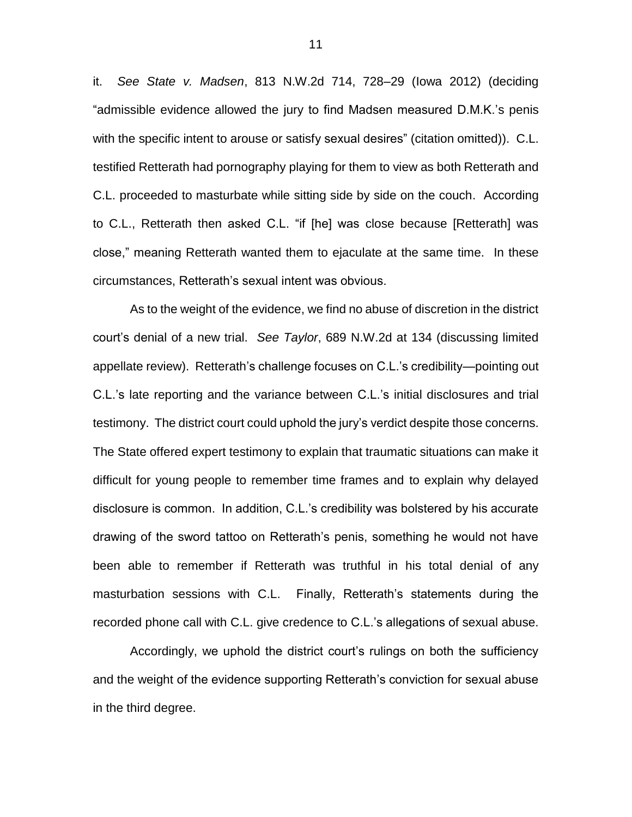it. *See State v. Madsen*, 813 N.W.2d 714, 728–29 (Iowa 2012) (deciding "admissible evidence allowed the jury to find Madsen measured D.M.K.'s penis with the specific intent to arouse or satisfy sexual desires" (citation omitted)). C.L. testified Retterath had pornography playing for them to view as both Retterath and C.L. proceeded to masturbate while sitting side by side on the couch. According to C.L., Retterath then asked C.L. "if [he] was close because [Retterath] was close," meaning Retterath wanted them to ejaculate at the same time. In these circumstances, Retterath's sexual intent was obvious.

As to the weight of the evidence, we find no abuse of discretion in the district court's denial of a new trial. *See Taylor*, 689 N.W.2d at 134 (discussing limited appellate review). Retterath's challenge focuses on C.L.'s credibility—pointing out C.L.'s late reporting and the variance between C.L.'s initial disclosures and trial testimony. The district court could uphold the jury's verdict despite those concerns. The State offered expert testimony to explain that traumatic situations can make it difficult for young people to remember time frames and to explain why delayed disclosure is common. In addition, C.L.'s credibility was bolstered by his accurate drawing of the sword tattoo on Retterath's penis, something he would not have been able to remember if Retterath was truthful in his total denial of any masturbation sessions with C.L. Finally, Retterath's statements during the recorded phone call with C.L. give credence to C.L.'s allegations of sexual abuse.

Accordingly, we uphold the district court's rulings on both the sufficiency and the weight of the evidence supporting Retterath's conviction for sexual abuse in the third degree.

11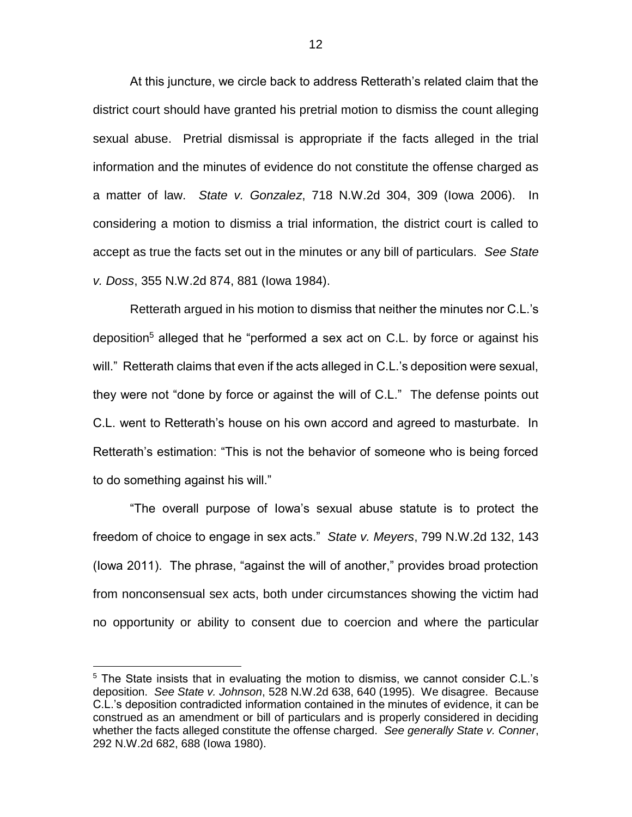At this juncture, we circle back to address Retterath's related claim that the district court should have granted his pretrial motion to dismiss the count alleging sexual abuse. Pretrial dismissal is appropriate if the facts alleged in the trial information and the minutes of evidence do not constitute the offense charged as a matter of law. *State v. Gonzalez*, 718 N.W.2d 304, 309 (Iowa 2006). In considering a motion to dismiss a trial information, the district court is called to accept as true the facts set out in the minutes or any bill of particulars. *See State v. Doss*, 355 N.W.2d 874, 881 (Iowa 1984).

Retterath argued in his motion to dismiss that neither the minutes nor C.L.'s deposition<sup>5</sup> alleged that he "performed a sex act on C.L. by force or against his will." Retterath claims that even if the acts alleged in C.L.'s deposition were sexual, they were not "done by force or against the will of C.L." The defense points out C.L. went to Retterath's house on his own accord and agreed to masturbate. In Retterath's estimation: "This is not the behavior of someone who is being forced to do something against his will."

"The overall purpose of Iowa's sexual abuse statute is to protect the freedom of choice to engage in sex acts." *State v. Meyers*, 799 N.W.2d 132, 143 (Iowa 2011). The phrase, "against the will of another," provides broad protection from nonconsensual sex acts, both under circumstances showing the victim had no opportunity or ability to consent due to coercion and where the particular

 $\overline{a}$ 

<sup>&</sup>lt;sup>5</sup> The State insists that in evaluating the motion to dismiss, we cannot consider C.L.'s deposition. *See State v. Johnson*, 528 N.W.2d 638, 640 (1995). We disagree. Because C.L.'s deposition contradicted information contained in the minutes of evidence, it can be construed as an amendment or bill of particulars and is properly considered in deciding whether the facts alleged constitute the offense charged. *See generally State v. Conner*, 292 N.W.2d 682, 688 (Iowa 1980).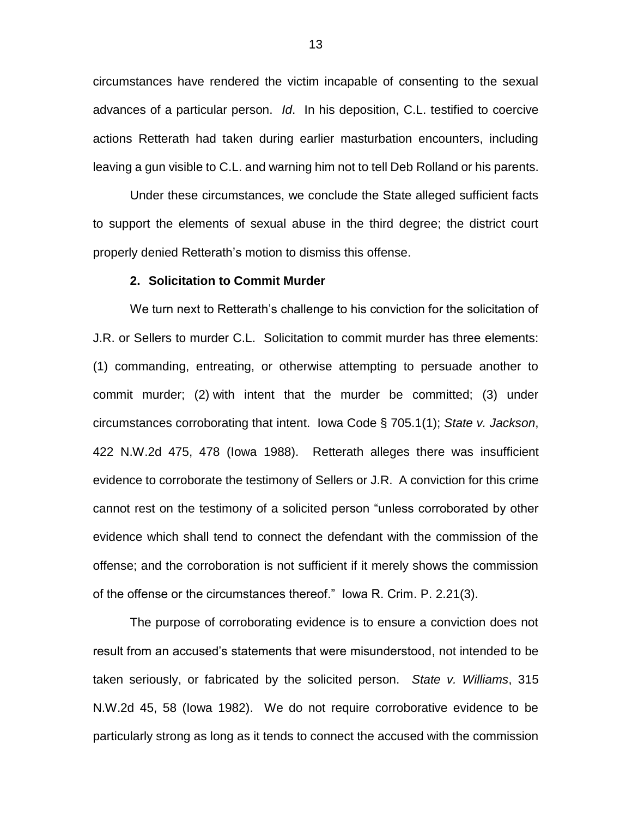circumstances have rendered the victim incapable of consenting to the sexual advances of a particular person. *Id*. In his deposition, C.L. testified to coercive actions Retterath had taken during earlier masturbation encounters, including leaving a gun visible to C.L. and warning him not to tell Deb Rolland or his parents.

Under these circumstances, we conclude the State alleged sufficient facts to support the elements of sexual abuse in the third degree; the district court properly denied Retterath's motion to dismiss this offense.

#### **2. Solicitation to Commit Murder**

We turn next to Retterath's challenge to his conviction for the solicitation of J.R. or Sellers to murder C.L. Solicitation to commit murder has three elements: (1) commanding, entreating, or otherwise attempting to persuade another to commit murder; (2) with intent that the murder be committed; (3) under circumstances corroborating that intent. Iowa Code § 705.1(1); *State v. Jackson*, 422 N.W.2d 475, 478 (Iowa 1988). Retterath alleges there was insufficient evidence to corroborate the testimony of Sellers or J.R. A conviction for this crime cannot rest on the testimony of a solicited person "unless corroborated by other evidence which shall tend to connect the defendant with the commission of the offense; and the corroboration is not sufficient if it merely shows the commission of the offense or the circumstances thereof." Iowa R. Crim. P. 2.21(3).

The purpose of corroborating evidence is to ensure a conviction does not result from an accused's statements that were misunderstood, not intended to be taken seriously, or fabricated by the solicited person. *State v. Williams*, 315 N.W.2d 45, 58 (Iowa 1982). We do not require corroborative evidence to be particularly strong as long as it tends to connect the accused with the commission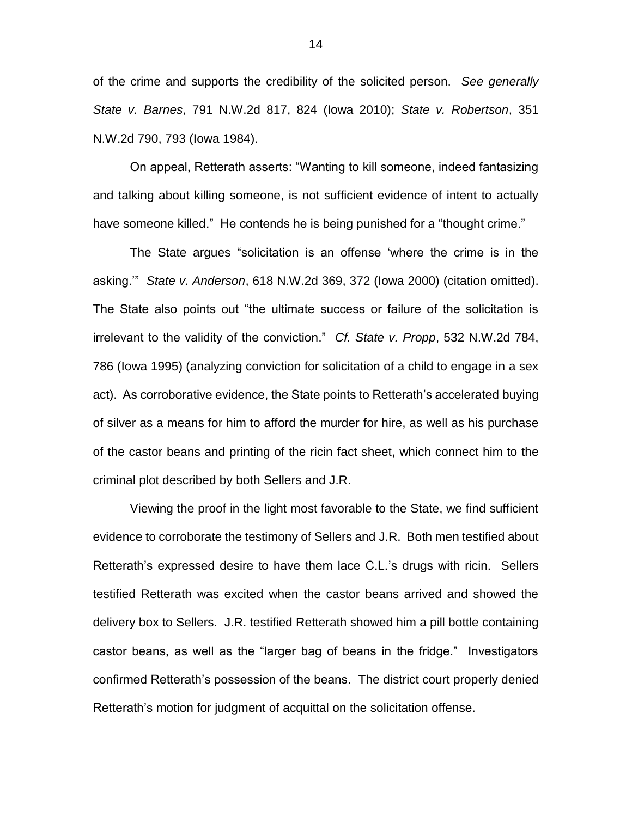of the crime and supports the credibility of the solicited person. *See generally State v. Barnes*, 791 N.W.2d 817, 824 (Iowa 2010); *State v. Robertson*, 351 N.W.2d 790, 793 (Iowa 1984).

On appeal, Retterath asserts: "Wanting to kill someone, indeed fantasizing and talking about killing someone, is not sufficient evidence of intent to actually have someone killed." He contends he is being punished for a "thought crime."

The State argues "solicitation is an offense 'where the crime is in the asking.'" *State v. Anderson*, 618 N.W.2d 369, 372 (Iowa 2000) (citation omitted). The State also points out "the ultimate success or failure of the solicitation is irrelevant to the validity of the conviction." *Cf. State v. Propp*, 532 N.W.2d 784, 786 (Iowa 1995) (analyzing conviction for solicitation of a child to engage in a sex act). As corroborative evidence, the State points to Retterath's accelerated buying of silver as a means for him to afford the murder for hire, as well as his purchase of the castor beans and printing of the ricin fact sheet, which connect him to the criminal plot described by both Sellers and J.R.

Viewing the proof in the light most favorable to the State, we find sufficient evidence to corroborate the testimony of Sellers and J.R. Both men testified about Retterath's expressed desire to have them lace C.L.'s drugs with ricin. Sellers testified Retterath was excited when the castor beans arrived and showed the delivery box to Sellers. J.R. testified Retterath showed him a pill bottle containing castor beans, as well as the "larger bag of beans in the fridge." Investigators confirmed Retterath's possession of the beans. The district court properly denied Retterath's motion for judgment of acquittal on the solicitation offense.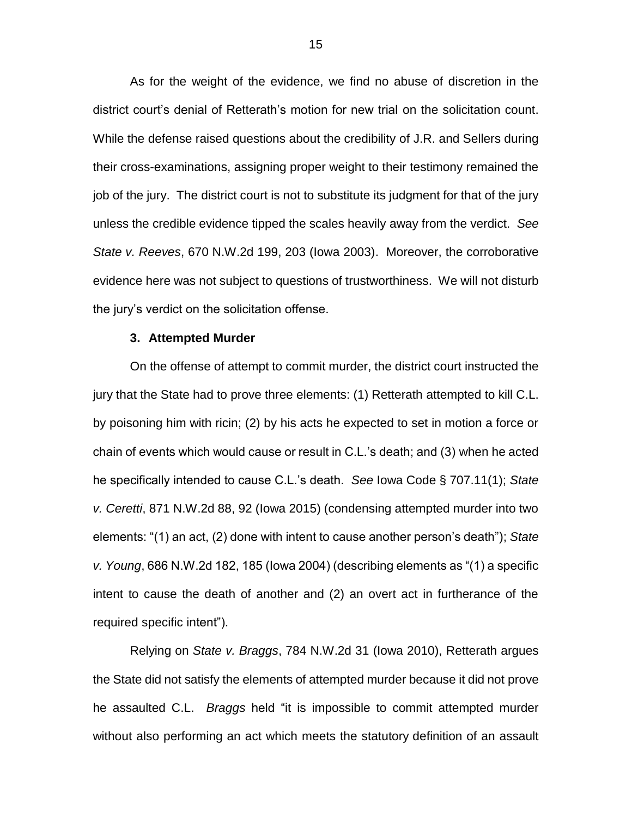As for the weight of the evidence, we find no abuse of discretion in the district court's denial of Retterath's motion for new trial on the solicitation count. While the defense raised questions about the credibility of J.R. and Sellers during their cross-examinations, assigning proper weight to their testimony remained the job of the jury. The district court is not to substitute its judgment for that of the jury unless the credible evidence tipped the scales heavily away from the verdict. *See State v. Reeves*, 670 N.W.2d 199, 203 (Iowa 2003). Moreover, the corroborative evidence here was not subject to questions of trustworthiness. We will not disturb the jury's verdict on the solicitation offense.

#### **3. Attempted Murder**

On the offense of attempt to commit murder, the district court instructed the jury that the State had to prove three elements: (1) Retterath attempted to kill C.L. by poisoning him with ricin; (2) by his acts he expected to set in motion a force or chain of events which would cause or result in C.L.'s death; and (3) when he acted he specifically intended to cause C.L.'s death. *See* Iowa Code § 707.11(1); *State v. Ceretti*, 871 N.W.2d 88, 92 (Iowa 2015) (condensing attempted murder into two elements: "(1) an act, (2) done with intent to cause another person's death"); *State v. Young*, 686 N.W.2d 182, 185 (Iowa 2004) (describing elements as "(1) a specific intent to cause the death of another and (2) an overt act in furtherance of the required specific intent").

Relying on *State v. Braggs*, 784 N.W.2d 31 (Iowa 2010), Retterath argues the State did not satisfy the elements of attempted murder because it did not prove he assaulted C.L. *Braggs* held "it is impossible to commit attempted murder without also performing an act which meets the statutory definition of an assault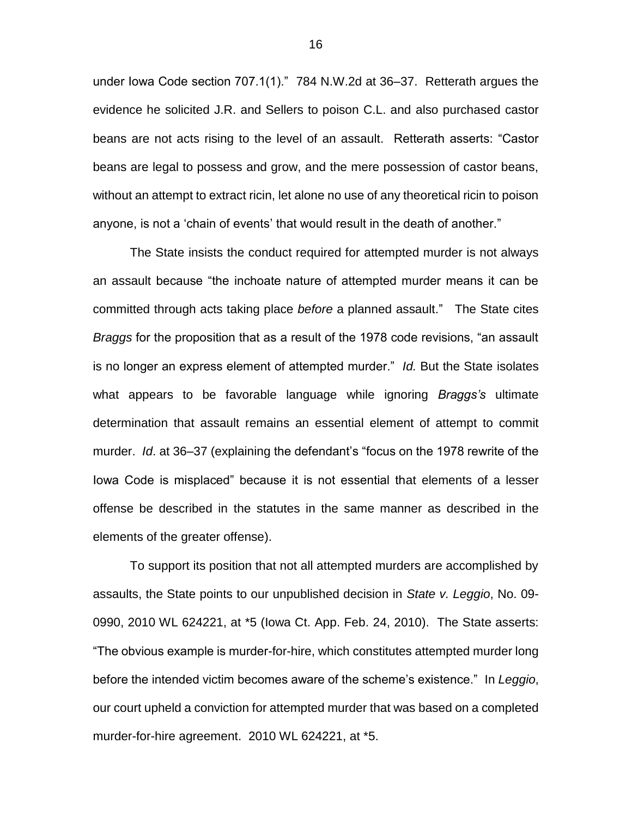under Iowa Code section 707.1(1)." 784 N.W.2d at 36–37. Retterath argues the evidence he solicited J.R. and Sellers to poison C.L. and also purchased castor beans are not acts rising to the level of an assault. Retterath asserts: "Castor beans are legal to possess and grow, and the mere possession of castor beans, without an attempt to extract ricin, let alone no use of any theoretical ricin to poison anyone, is not a 'chain of events' that would result in the death of another."

The State insists the conduct required for attempted murder is not always an assault because "the inchoate nature of attempted murder means it can be committed through acts taking place *before* a planned assault." The State cites *Braggs* for the proposition that as a result of the 1978 code revisions, "an assault is no longer an express element of attempted murder." *Id.* But the State isolates what appears to be favorable language while ignoring *Braggs's* ultimate determination that assault remains an essential element of attempt to commit murder. *Id*. at 36–37 (explaining the defendant's "focus on the 1978 rewrite of the Iowa Code is misplaced" because it is not essential that elements of a lesser offense be described in the statutes in the same manner as described in the elements of the greater offense).

To support its position that not all attempted murders are accomplished by assaults, the State points to our unpublished decision in *State v. Leggio*, No. 09- 0990, 2010 WL 624221, at \*5 (Iowa Ct. App. Feb. 24, 2010). The State asserts: "The obvious example is murder-for-hire, which constitutes attempted murder long before the intended victim becomes aware of the scheme's existence." In *Leggio*, our court upheld a conviction for attempted murder that was based on a completed murder-for-hire agreement. 2010 WL 624221, at \*5.

16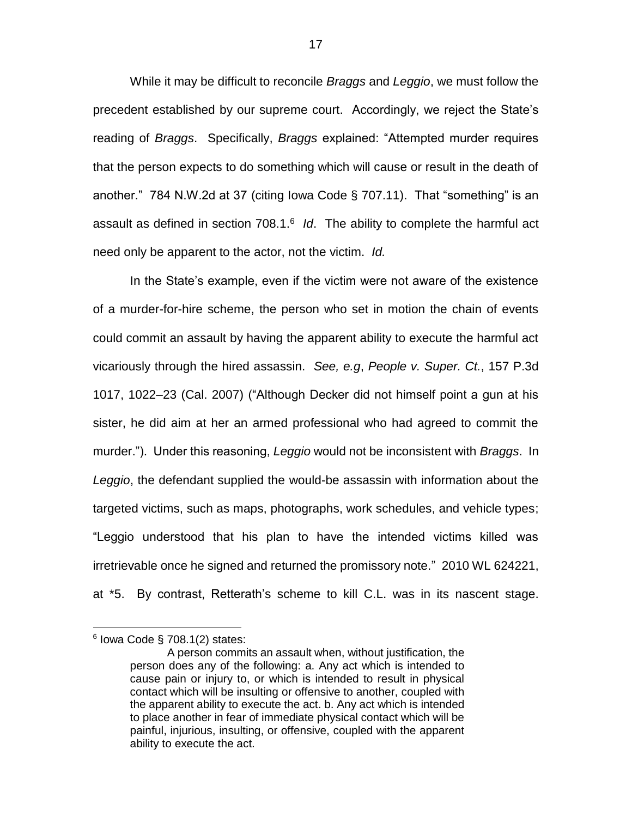While it may be difficult to reconcile *Braggs* and *Leggio*, we must follow the precedent established by our supreme court. Accordingly, we reject the State's reading of *Braggs*. Specifically, *Braggs* explained: "Attempted murder requires that the person expects to do something which will cause or result in the death of another." 784 N.W.2d at 37 (citing Iowa Code § 707.11). That "something" is an assault as defined in section 708.1.<sup>6</sup> *Id*. The ability to complete the harmful act need only be apparent to the actor, not the victim. *Id.*

In the State's example, even if the victim were not aware of the existence of a murder-for-hire scheme, the person who set in motion the chain of events could commit an assault by having the apparent ability to execute the harmful act vicariously through the hired assassin. *See, e.g*, *People v. Super. Ct.*, 157 P.3d 1017, 1022–23 (Cal. 2007) ("Although Decker did not himself point a gun at his sister, he did aim at her an armed professional who had agreed to commit the murder."). Under this reasoning, *Leggio* would not be inconsistent with *Braggs*. In *Leggio*, the defendant supplied the would-be assassin with information about the targeted victims, such as maps, photographs, work schedules, and vehicle types; "Leggio understood that his plan to have the intended victims killed was irretrievable once he signed and returned the promissory note." 2010 WL 624221, at \*5. By contrast, Retterath's scheme to kill C.L. was in its nascent stage.

 $\overline{a}$ 

 $6$  lowa Code § 708.1(2) states:

A person commits an assault when, without justification, the person does any of the following: a. Any act which is intended to cause pain or injury to, or which is intended to result in physical contact which will be insulting or offensive to another, coupled with the apparent ability to execute the act. b. Any act which is intended to place another in fear of immediate physical contact which will be painful, injurious, insulting, or offensive, coupled with the apparent ability to execute the act.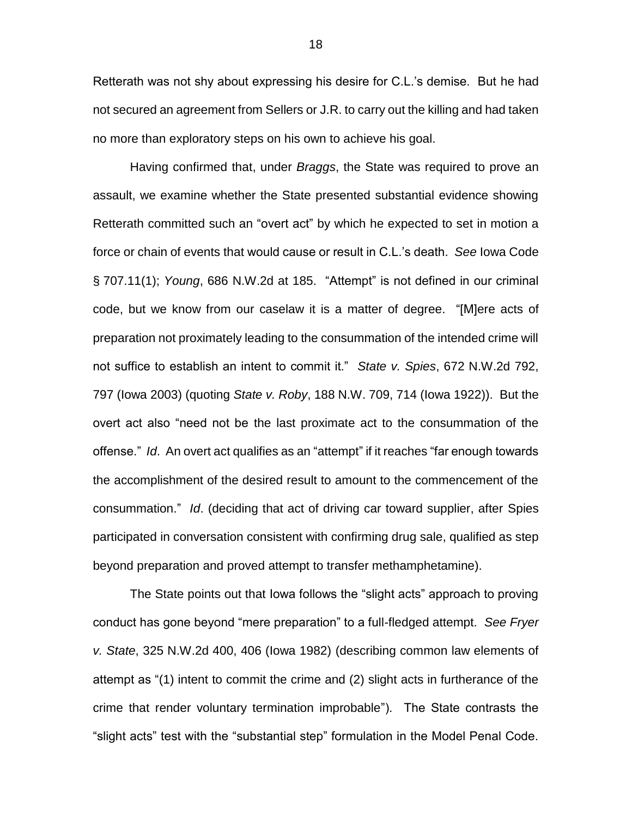Retterath was not shy about expressing his desire for C.L.'s demise. But he had not secured an agreement from Sellers or J.R. to carry out the killing and had taken no more than exploratory steps on his own to achieve his goal.

Having confirmed that, under *Braggs*, the State was required to prove an assault, we examine whether the State presented substantial evidence showing Retterath committed such an "overt act" by which he expected to set in motion a force or chain of events that would cause or result in C.L.'s death. *See* Iowa Code § 707.11(1); *Young*, 686 N.W.2d at 185. "Attempt" is not defined in our criminal code, but we know from our caselaw it is a matter of degree. "[M]ere acts of preparation not proximately leading to the consummation of the intended crime will not suffice to establish an intent to commit it." *State v. Spies*, 672 N.W.2d 792, 797 (Iowa 2003) (quoting *State v. Roby*, 188 N.W. 709, 714 (Iowa 1922)). But the overt act also "need not be the last proximate act to the consummation of the offense." *Id*. An overt act qualifies as an "attempt" if it reaches "far enough towards the accomplishment of the desired result to amount to the commencement of the consummation." *Id*. (deciding that act of driving car toward supplier, after Spies participated in conversation consistent with confirming drug sale, qualified as step beyond preparation and proved attempt to transfer methamphetamine).

The State points out that Iowa follows the "slight acts" approach to proving conduct has gone beyond "mere preparation" to a full-fledged attempt. *See Fryer v. State*, 325 N.W.2d 400, 406 (Iowa 1982) (describing common law elements of attempt as "(1) intent to commit the crime and (2) slight acts in furtherance of the crime that render voluntary termination improbable"). The State contrasts the "slight acts" test with the "substantial step" formulation in the Model Penal Code.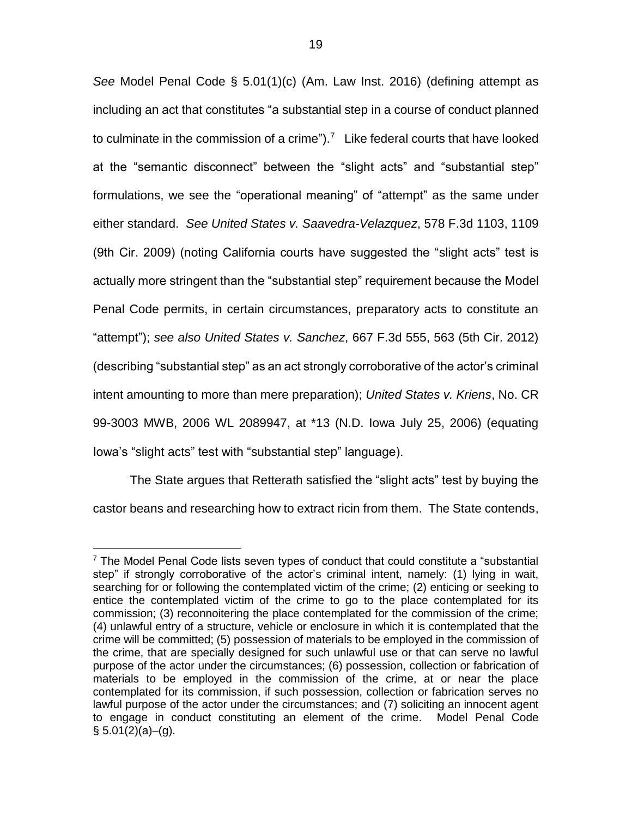*See* Model Penal Code § 5.01(1)(c) (Am. Law Inst. 2016) (defining attempt as including an act that constitutes "a substantial step in a course of conduct planned to culminate in the commission of a crime").<sup>7</sup> Like federal courts that have looked at the "semantic disconnect" between the "slight acts" and "substantial step" formulations, we see the "operational meaning" of "attempt" as the same under either standard. *See United States v. Saavedra-Velazquez*, 578 F.3d 1103, 1109 (9th Cir. 2009) (noting California courts have suggested the "slight acts" test is actually more stringent than the "substantial step" requirement because the Model Penal Code permits, in certain circumstances, preparatory acts to constitute an "attempt"); *see also United States v. Sanchez*, 667 F.3d 555, 563 (5th Cir. 2012) (describing "substantial step" as an act strongly corroborative of the actor's criminal intent amounting to more than mere preparation); *United States v. Kriens*, No. CR 99-3003 MWB, 2006 WL 2089947, at \*13 (N.D. Iowa July 25, 2006) (equating Iowa's "slight acts" test with "substantial step" language).

The State argues that Retterath satisfied the "slight acts" test by buying the castor beans and researching how to extract ricin from them. The State contends,

 $\overline{a}$  $7$  The Model Penal Code lists seven types of conduct that could constitute a "substantial step" if strongly corroborative of the actor's criminal intent, namely: (1) lying in wait, searching for or following the contemplated victim of the crime; (2) enticing or seeking to entice the contemplated victim of the crime to go to the place contemplated for its commission; (3) reconnoitering the place contemplated for the commission of the crime; (4) unlawful entry of a structure, vehicle or enclosure in which it is contemplated that the crime will be committed; (5) possession of materials to be employed in the commission of the crime, that are specially designed for such unlawful use or that can serve no lawful purpose of the actor under the circumstances; (6) possession, collection or fabrication of materials to be employed in the commission of the crime, at or near the place contemplated for its commission, if such possession, collection or fabrication serves no lawful purpose of the actor under the circumstances; and (7) soliciting an innocent agent to engage in conduct constituting an element of the crime. Model Penal Code  $§ 5.01(2)(a)–(g).$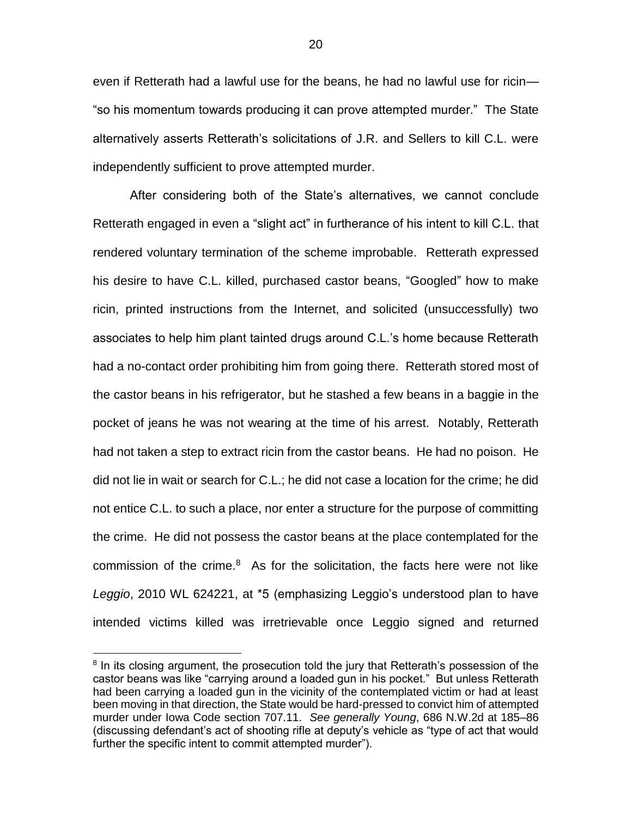even if Retterath had a lawful use for the beans, he had no lawful use for ricin— "so his momentum towards producing it can prove attempted murder." The State alternatively asserts Retterath's solicitations of J.R. and Sellers to kill C.L. were independently sufficient to prove attempted murder.

After considering both of the State's alternatives, we cannot conclude Retterath engaged in even a "slight act" in furtherance of his intent to kill C.L. that rendered voluntary termination of the scheme improbable. Retterath expressed his desire to have C.L. killed, purchased castor beans, "Googled" how to make ricin, printed instructions from the Internet, and solicited (unsuccessfully) two associates to help him plant tainted drugs around C.L.'s home because Retterath had a no-contact order prohibiting him from going there. Retterath stored most of the castor beans in his refrigerator, but he stashed a few beans in a baggie in the pocket of jeans he was not wearing at the time of his arrest. Notably, Retterath had not taken a step to extract ricin from the castor beans. He had no poison. He did not lie in wait or search for C.L.; he did not case a location for the crime; he did not entice C.L. to such a place, nor enter a structure for the purpose of committing the crime. He did not possess the castor beans at the place contemplated for the commission of the crime.<sup>8</sup> As for the solicitation, the facts here were not like *Leggio*, 2010 WL 624221, at \*5 (emphasizing Leggio's understood plan to have intended victims killed was irretrievable once Leggio signed and returned

 $\overline{a}$ 

<sup>&</sup>lt;sup>8</sup> In its closing argument, the prosecution told the jury that Retterath's possession of the castor beans was like "carrying around a loaded gun in his pocket." But unless Retterath had been carrying a loaded gun in the vicinity of the contemplated victim or had at least been moving in that direction, the State would be hard-pressed to convict him of attempted murder under Iowa Code section 707.11. *See generally Young*, 686 N.W.2d at 185–86 (discussing defendant's act of shooting rifle at deputy's vehicle as "type of act that would further the specific intent to commit attempted murder").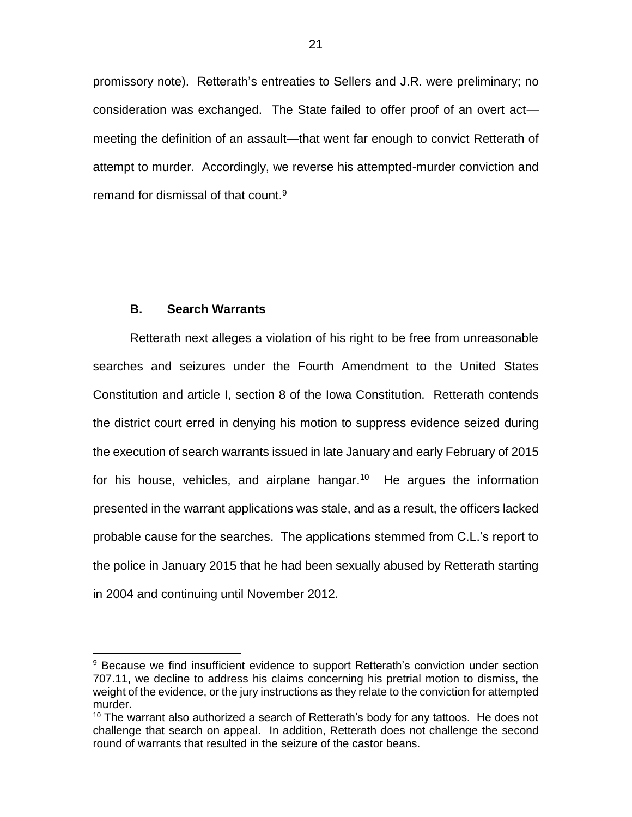promissory note). Retterath's entreaties to Sellers and J.R. were preliminary; no consideration was exchanged. The State failed to offer proof of an overt act meeting the definition of an assault—that went far enough to convict Retterath of attempt to murder. Accordingly, we reverse his attempted-murder conviction and remand for dismissal of that count.<sup>9</sup>

### **B. Search Warrants**

 $\overline{a}$ 

Retterath next alleges a violation of his right to be free from unreasonable searches and seizures under the Fourth Amendment to the United States Constitution and article I, section 8 of the Iowa Constitution. Retterath contends the district court erred in denying his motion to suppress evidence seized during the execution of search warrants issued in late January and early February of 2015 for his house, vehicles, and airplane hangar.<sup>10</sup> He argues the information presented in the warrant applications was stale, and as a result, the officers lacked probable cause for the searches. The applications stemmed from C.L.'s report to the police in January 2015 that he had been sexually abused by Retterath starting in 2004 and continuing until November 2012.

<sup>&</sup>lt;sup>9</sup> Because we find insufficient evidence to support Retterath's conviction under section 707.11, we decline to address his claims concerning his pretrial motion to dismiss, the weight of the evidence, or the jury instructions as they relate to the conviction for attempted murder.

 $10$  The warrant also authorized a search of Retterath's body for any tattoos. He does not challenge that search on appeal. In addition, Retterath does not challenge the second round of warrants that resulted in the seizure of the castor beans.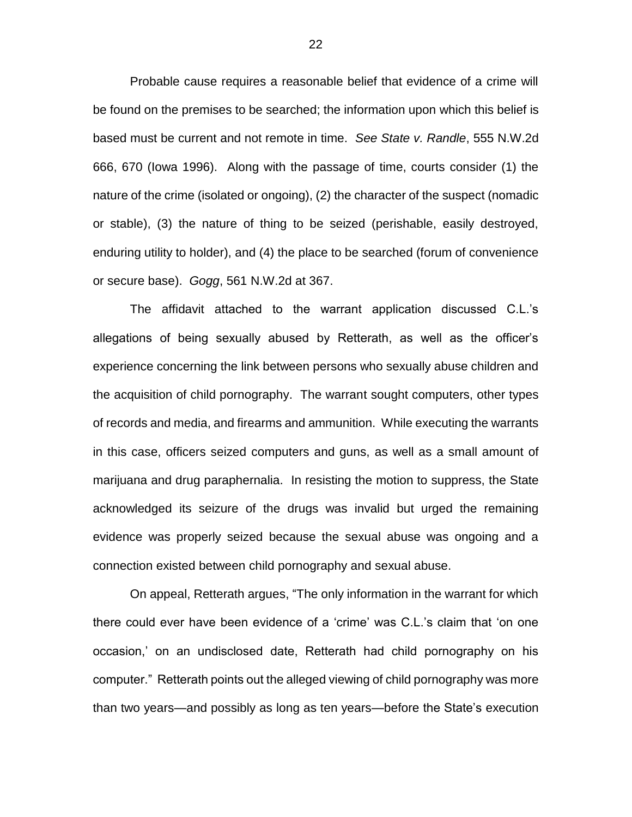Probable cause requires a reasonable belief that evidence of a crime will be found on the premises to be searched; the information upon which this belief is based must be current and not remote in time. *See State v. Randle*, 555 N.W.2d 666, 670 (Iowa 1996). Along with the passage of time, courts consider (1) the nature of the crime (isolated or ongoing), (2) the character of the suspect (nomadic or stable), (3) the nature of thing to be seized (perishable, easily destroyed, enduring utility to holder), and (4) the place to be searched (forum of convenience or secure base). *Gogg*, 561 N.W.2d at 367.

The affidavit attached to the warrant application discussed C.L.'s allegations of being sexually abused by Retterath, as well as the officer's experience concerning the link between persons who sexually abuse children and the acquisition of child pornography. The warrant sought computers, other types of records and media, and firearms and ammunition. While executing the warrants in this case, officers seized computers and guns, as well as a small amount of marijuana and drug paraphernalia. In resisting the motion to suppress, the State acknowledged its seizure of the drugs was invalid but urged the remaining evidence was properly seized because the sexual abuse was ongoing and a connection existed between child pornography and sexual abuse.

On appeal, Retterath argues, "The only information in the warrant for which there could ever have been evidence of a 'crime' was C.L.'s claim that 'on one occasion,' on an undisclosed date, Retterath had child pornography on his computer." Retterath points out the alleged viewing of child pornography was more than two years—and possibly as long as ten years—before the State's execution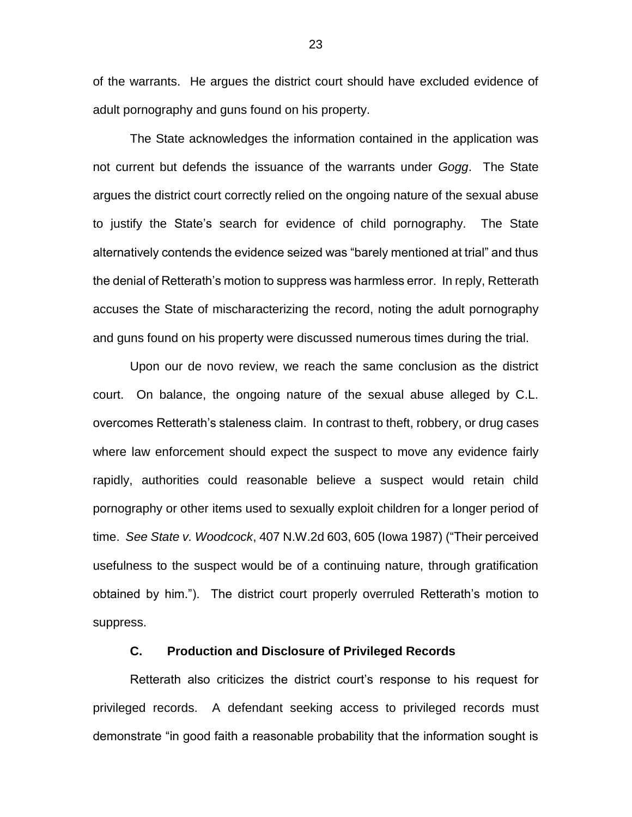of the warrants. He argues the district court should have excluded evidence of adult pornography and guns found on his property.

The State acknowledges the information contained in the application was not current but defends the issuance of the warrants under *Gogg*. The State argues the district court correctly relied on the ongoing nature of the sexual abuse to justify the State's search for evidence of child pornography. The State alternatively contends the evidence seized was "barely mentioned at trial" and thus the denial of Retterath's motion to suppress was harmless error. In reply, Retterath accuses the State of mischaracterizing the record, noting the adult pornography and guns found on his property were discussed numerous times during the trial.

Upon our de novo review, we reach the same conclusion as the district court. On balance, the ongoing nature of the sexual abuse alleged by C.L. overcomes Retterath's staleness claim. In contrast to theft, robbery, or drug cases where law enforcement should expect the suspect to move any evidence fairly rapidly, authorities could reasonable believe a suspect would retain child pornography or other items used to sexually exploit children for a longer period of time. *See State v. Woodcock*, 407 N.W.2d 603, 605 (Iowa 1987) ("Their perceived usefulness to the suspect would be of a continuing nature, through gratification obtained by him."). The district court properly overruled Retterath's motion to suppress.

### **C. Production and Disclosure of Privileged Records**

Retterath also criticizes the district court's response to his request for privileged records. A defendant seeking access to privileged records must demonstrate "in good faith a reasonable probability that the information sought is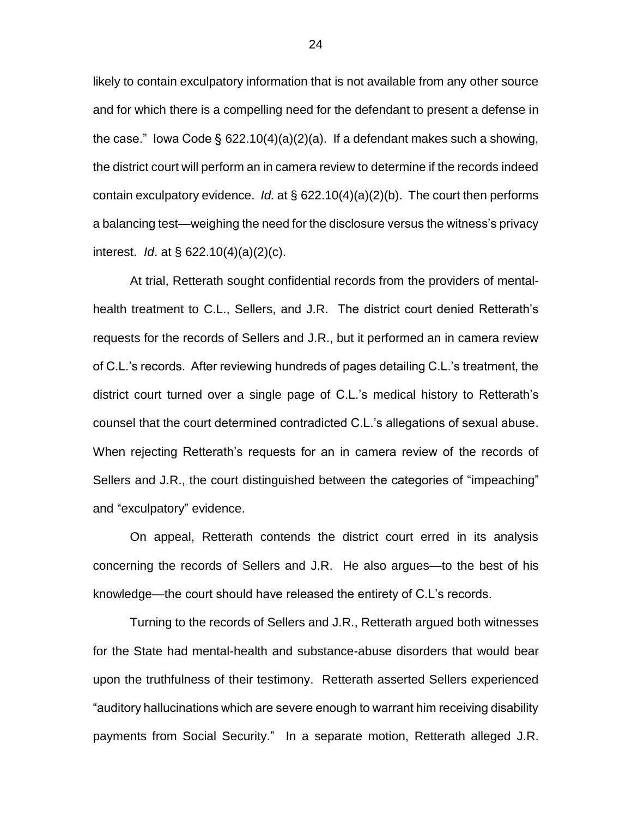likely to contain exculpatory information that is not available from any other source and for which there is a compelling need for the defendant to present a defense in the case." Iowa Code § 622.10(4)(a)(2)(a). If a defendant makes such a showing, the district court will perform an in camera review to determine if the records indeed contain exculpatory evidence. *Id.* at § 622.10(4)(a)(2)(b). The court then performs a balancing test—weighing the need for the disclosure versus the witness's privacy interest. *Id*. at § 622.10(4)(a)(2)(c).

At trial, Retterath sought confidential records from the providers of mentalhealth treatment to C.L., Sellers, and J.R. The district court denied Retterath's requests for the records of Sellers and J.R., but it performed an in camera review of C.L.'s records. After reviewing hundreds of pages detailing C.L.'s treatment, the district court turned over a single page of C.L.'s medical history to Retterath's counsel that the court determined contradicted C.L.'s allegations of sexual abuse. When rejecting Retterath's requests for an in camera review of the records of Sellers and J.R., the court distinguished between the categories of "impeaching" and "exculpatory" evidence.

On appeal, Retterath contends the district court erred in its analysis concerning the records of Sellers and J.R. He also argues—to the best of his knowledge—the court should have released the entirety of C.L's records.

Turning to the records of Sellers and J.R., Retterath argued both witnesses for the State had mental-health and substance-abuse disorders that would bear upon the truthfulness of their testimony. Retterath asserted Sellers experienced "auditory hallucinations which are severe enough to warrant him receiving disability payments from Social Security." In a separate motion, Retterath alleged J.R.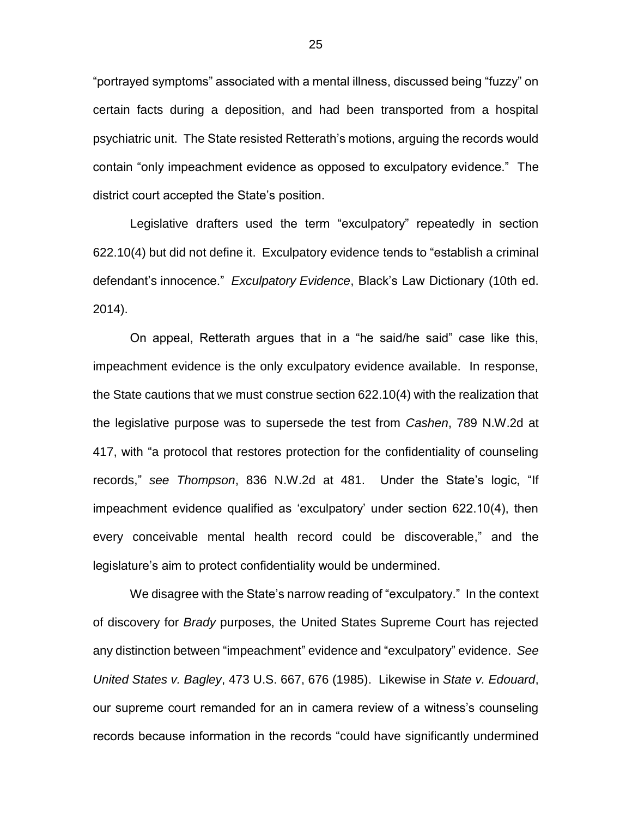"portrayed symptoms" associated with a mental illness, discussed being "fuzzy" on certain facts during a deposition, and had been transported from a hospital psychiatric unit. The State resisted Retterath's motions, arguing the records would contain "only impeachment evidence as opposed to exculpatory evidence." The district court accepted the State's position.

Legislative drafters used the term "exculpatory" repeatedly in section 622.10(4) but did not define it. Exculpatory evidence tends to "establish a criminal defendant's innocence." *Exculpatory Evidence*, Black's Law Dictionary (10th ed. 2014).

On appeal, Retterath argues that in a "he said/he said" case like this, impeachment evidence is the only exculpatory evidence available. In response, the State cautions that we must construe section 622.10(4) with the realization that the legislative purpose was to supersede the test from *Cashen*, 789 N.W.2d at 417, with "a protocol that restores protection for the confidentiality of counseling records," *see Thompson*, 836 N.W.2d at 481. Under the State's logic, "If impeachment evidence qualified as 'exculpatory' under section 622.10(4), then every conceivable mental health record could be discoverable," and the legislature's aim to protect confidentiality would be undermined.

We disagree with the State's narrow reading of "exculpatory." In the context of discovery for *Brady* purposes, the United States Supreme Court has rejected any distinction between "impeachment" evidence and "exculpatory" evidence. *See United States v. Bagley*, 473 U.S. 667, 676 (1985). Likewise in *State v. Edouard*, our supreme court remanded for an in camera review of a witness's counseling records because information in the records "could have significantly undermined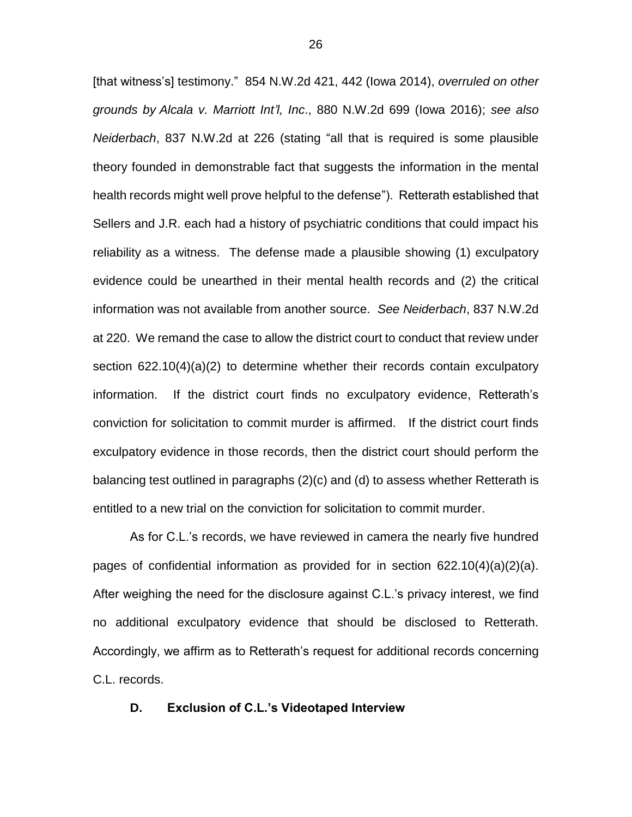[that witness's] testimony." 854 N.W.2d 421, 442 (Iowa 2014), *overruled on other grounds by Alcala v. Marriott Int'l, Inc*., 880 N.W.2d 699 (Iowa 2016); *see also Neiderbach*, 837 N.W.2d at 226 (stating "all that is required is some plausible theory founded in demonstrable fact that suggests the information in the mental health records might well prove helpful to the defense"). Retterath established that Sellers and J.R. each had a history of psychiatric conditions that could impact his reliability as a witness. The defense made a plausible showing (1) exculpatory evidence could be unearthed in their mental health records and (2) the critical information was not available from another source. *See Neiderbach*, 837 N.W.2d at 220. We remand the case to allow the district court to conduct that review under section 622.10(4)(a)(2) to determine whether their records contain exculpatory information. If the district court finds no exculpatory evidence, Retterath's conviction for solicitation to commit murder is affirmed. If the district court finds exculpatory evidence in those records, then the district court should perform the balancing test outlined in paragraphs (2)(c) and (d) to assess whether Retterath is entitled to a new trial on the conviction for solicitation to commit murder.

As for C.L.'s records, we have reviewed in camera the nearly five hundred pages of confidential information as provided for in section  $622.10(4)(a)(2)(a)$ . After weighing the need for the disclosure against C.L.'s privacy interest, we find no additional exculpatory evidence that should be disclosed to Retterath. Accordingly, we affirm as to Retterath's request for additional records concerning C.L. records.

### **D. Exclusion of C.L.'s Videotaped Interview**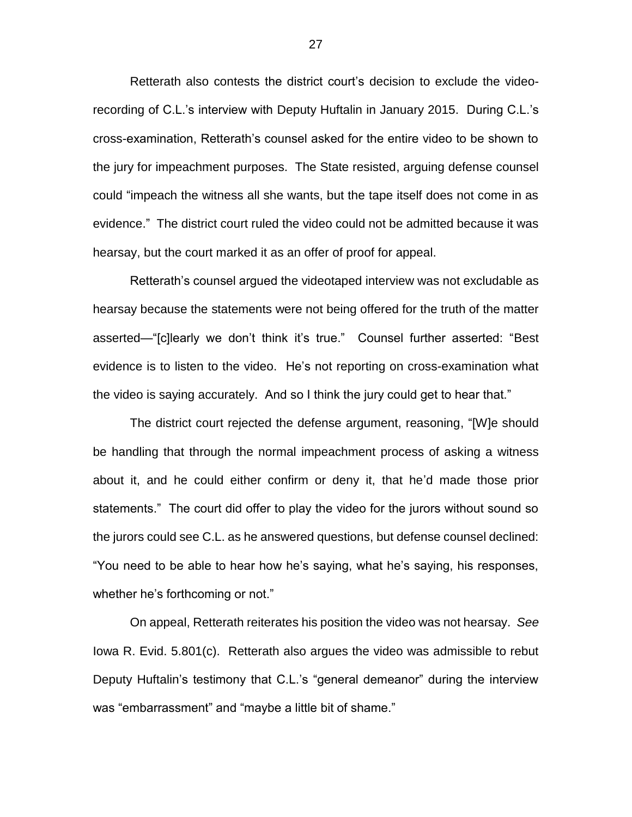Retterath also contests the district court's decision to exclude the videorecording of C.L.'s interview with Deputy Huftalin in January 2015. During C.L.'s cross-examination, Retterath's counsel asked for the entire video to be shown to the jury for impeachment purposes. The State resisted, arguing defense counsel could "impeach the witness all she wants, but the tape itself does not come in as evidence." The district court ruled the video could not be admitted because it was hearsay, but the court marked it as an offer of proof for appeal.

Retterath's counsel argued the videotaped interview was not excludable as hearsay because the statements were not being offered for the truth of the matter asserted—"[c]learly we don't think it's true." Counsel further asserted: "Best evidence is to listen to the video. He's not reporting on cross-examination what the video is saying accurately. And so I think the jury could get to hear that."

The district court rejected the defense argument, reasoning, "[W]e should be handling that through the normal impeachment process of asking a witness about it, and he could either confirm or deny it, that he'd made those prior statements." The court did offer to play the video for the jurors without sound so the jurors could see C.L. as he answered questions, but defense counsel declined: "You need to be able to hear how he's saying, what he's saying, his responses, whether he's forthcoming or not."

On appeal, Retterath reiterates his position the video was not hearsay. *See* Iowa R. Evid. 5.801(c). Retterath also argues the video was admissible to rebut Deputy Huftalin's testimony that C.L.'s "general demeanor" during the interview was "embarrassment" and "maybe a little bit of shame."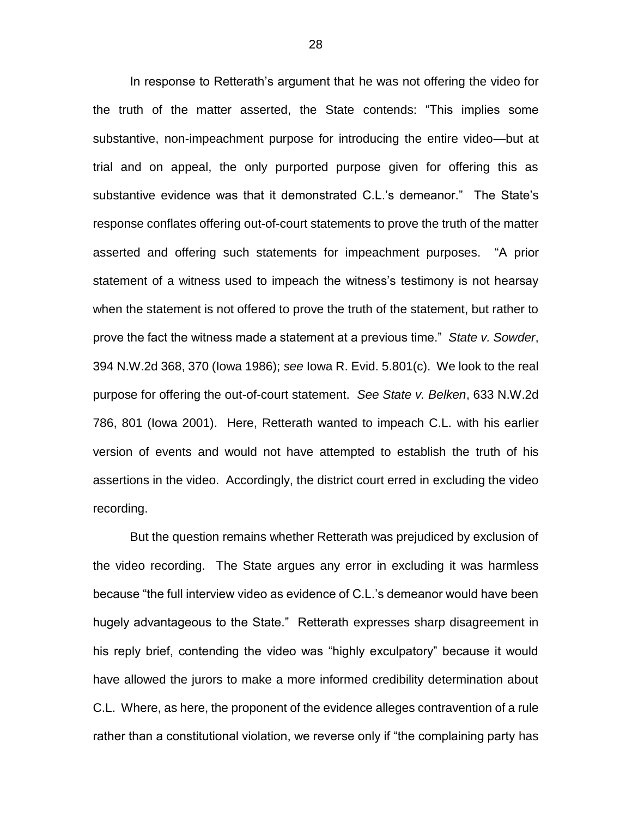In response to Retterath's argument that he was not offering the video for the truth of the matter asserted, the State contends: "This implies some substantive, non-impeachment purpose for introducing the entire video—but at trial and on appeal, the only purported purpose given for offering this as substantive evidence was that it demonstrated C.L.'s demeanor." The State's response conflates offering out-of-court statements to prove the truth of the matter asserted and offering such statements for impeachment purposes. "A prior statement of a witness used to impeach the witness's testimony is not hearsay when the statement is not offered to prove the truth of the statement, but rather to prove the fact the witness made a statement at a previous time." *State v. Sowder*, 394 N.W.2d 368, 370 (Iowa 1986); *see* Iowa R. Evid. 5.801(c). We look to the real purpose for offering the out-of-court statement. *See State v. Belken*, 633 N.W.2d 786, 801 (Iowa 2001). Here, Retterath wanted to impeach C.L. with his earlier version of events and would not have attempted to establish the truth of his assertions in the video. Accordingly, the district court erred in excluding the video recording.

But the question remains whether Retterath was prejudiced by exclusion of the video recording. The State argues any error in excluding it was harmless because "the full interview video as evidence of C.L.'s demeanor would have been hugely advantageous to the State." Retterath expresses sharp disagreement in his reply brief, contending the video was "highly exculpatory" because it would have allowed the jurors to make a more informed credibility determination about C.L. Where, as here, the proponent of the evidence alleges contravention of a rule rather than a constitutional violation, we reverse only if "the complaining party has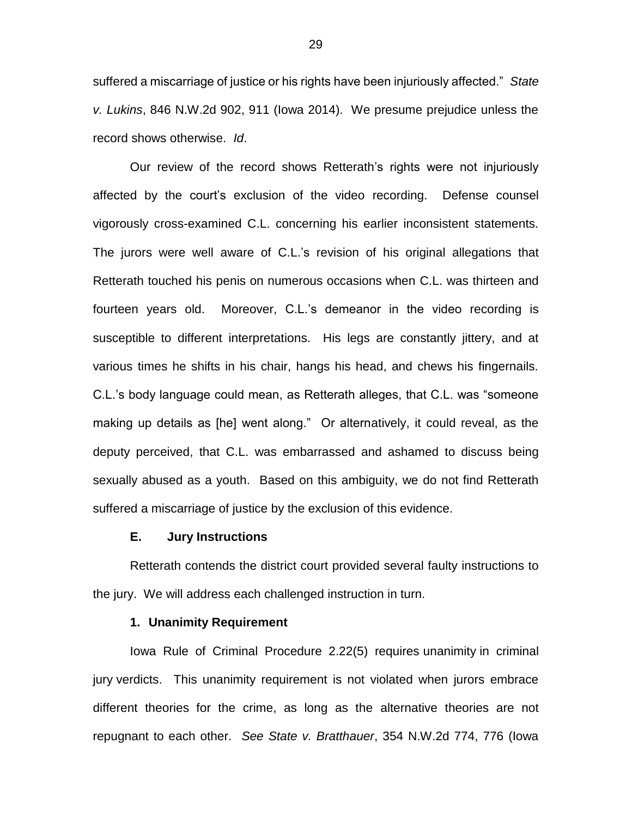suffered a miscarriage of justice or his rights have been injuriously affected." *State v. Lukins*, 846 N.W.2d 902, 911 (Iowa 2014). We presume prejudice unless the record shows otherwise. *Id*.

Our review of the record shows Retterath's rights were not injuriously affected by the court's exclusion of the video recording. Defense counsel vigorously cross-examined C.L. concerning his earlier inconsistent statements. The jurors were well aware of C.L.'s revision of his original allegations that Retterath touched his penis on numerous occasions when C.L. was thirteen and fourteen years old. Moreover, C.L.'s demeanor in the video recording is susceptible to different interpretations. His legs are constantly jittery, and at various times he shifts in his chair, hangs his head, and chews his fingernails. C.L.'s body language could mean, as Retterath alleges, that C.L. was "someone making up details as [he] went along." Or alternatively, it could reveal, as the deputy perceived, that C.L. was embarrassed and ashamed to discuss being sexually abused as a youth. Based on this ambiguity, we do not find Retterath suffered a miscarriage of justice by the exclusion of this evidence.

### **E. Jury Instructions**

Retterath contends the district court provided several faulty instructions to the jury. We will address each challenged instruction in turn.

### **1. Unanimity Requirement**

Iowa Rule of Criminal Procedure 2.22(5) requires unanimity in criminal jury verdicts. This unanimity requirement is not violated when jurors embrace different theories for the crime, as long as the alternative theories are not repugnant to each other. *See State v. Bratthauer*, 354 N.W.2d 774, 776 (Iowa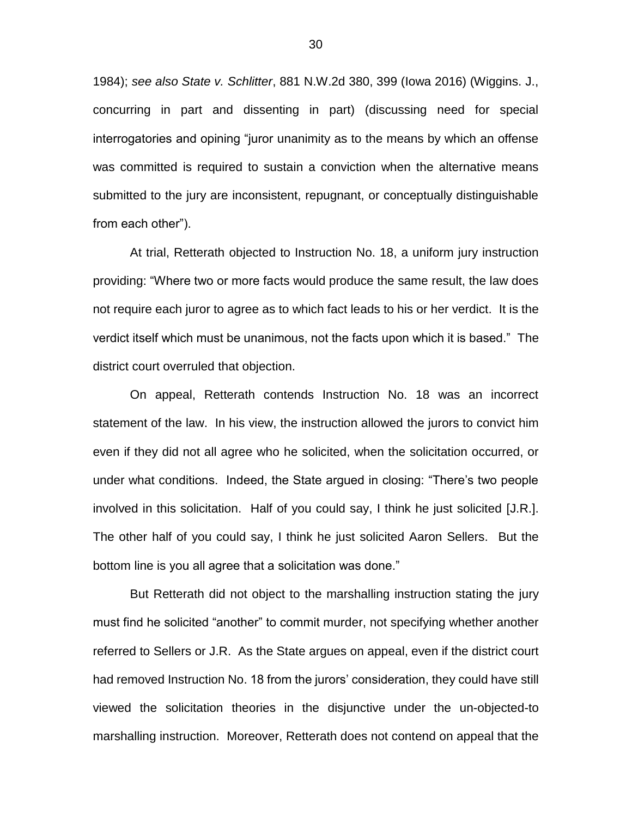1984); *see also State v. Schlitter*, 881 N.W.2d 380, 399 (Iowa 2016) (Wiggins. J., concurring in part and dissenting in part) (discussing need for special interrogatories and opining "juror unanimity as to the means by which an offense was committed is required to sustain a conviction when the alternative means submitted to the jury are inconsistent, repugnant, or conceptually distinguishable from each other").

At trial, Retterath objected to Instruction No. 18, a uniform jury instruction providing: "Where two or more facts would produce the same result, the law does not require each juror to agree as to which fact leads to his or her verdict. It is the verdict itself which must be unanimous, not the facts upon which it is based." The district court overruled that objection.

On appeal, Retterath contends Instruction No. 18 was an incorrect statement of the law. In his view, the instruction allowed the jurors to convict him even if they did not all agree who he solicited, when the solicitation occurred, or under what conditions. Indeed, the State argued in closing: "There's two people involved in this solicitation. Half of you could say, I think he just solicited [J.R.]. The other half of you could say, I think he just solicited Aaron Sellers. But the bottom line is you all agree that a solicitation was done."

But Retterath did not object to the marshalling instruction stating the jury must find he solicited "another" to commit murder, not specifying whether another referred to Sellers or J.R. As the State argues on appeal, even if the district court had removed Instruction No. 18 from the jurors' consideration, they could have still viewed the solicitation theories in the disjunctive under the un-objected-to marshalling instruction. Moreover, Retterath does not contend on appeal that the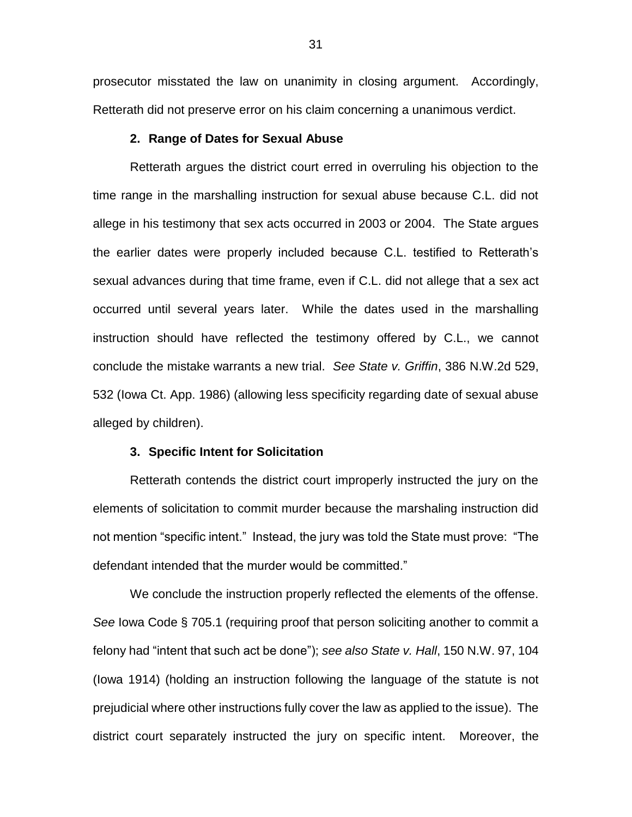prosecutor misstated the law on unanimity in closing argument. Accordingly, Retterath did not preserve error on his claim concerning a unanimous verdict.

### **2. Range of Dates for Sexual Abuse**

Retterath argues the district court erred in overruling his objection to the time range in the marshalling instruction for sexual abuse because C.L. did not allege in his testimony that sex acts occurred in 2003 or 2004. The State argues the earlier dates were properly included because C.L. testified to Retterath's sexual advances during that time frame, even if C.L. did not allege that a sex act occurred until several years later. While the dates used in the marshalling instruction should have reflected the testimony offered by C.L., we cannot conclude the mistake warrants a new trial. *See State v. Griffin*, 386 N.W.2d 529, 532 (Iowa Ct. App. 1986) (allowing less specificity regarding date of sexual abuse alleged by children).

### **3. Specific Intent for Solicitation**

Retterath contends the district court improperly instructed the jury on the elements of solicitation to commit murder because the marshaling instruction did not mention "specific intent." Instead, the jury was told the State must prove: "The defendant intended that the murder would be committed."

We conclude the instruction properly reflected the elements of the offense. *See* Iowa Code § 705.1 (requiring proof that person soliciting another to commit a felony had "intent that such act be done"); *see also State v. Hall*, 150 N.W. 97, 104 (Iowa 1914) (holding an instruction following the language of the statute is not prejudicial where other instructions fully cover the law as applied to the issue). The district court separately instructed the jury on specific intent. Moreover, the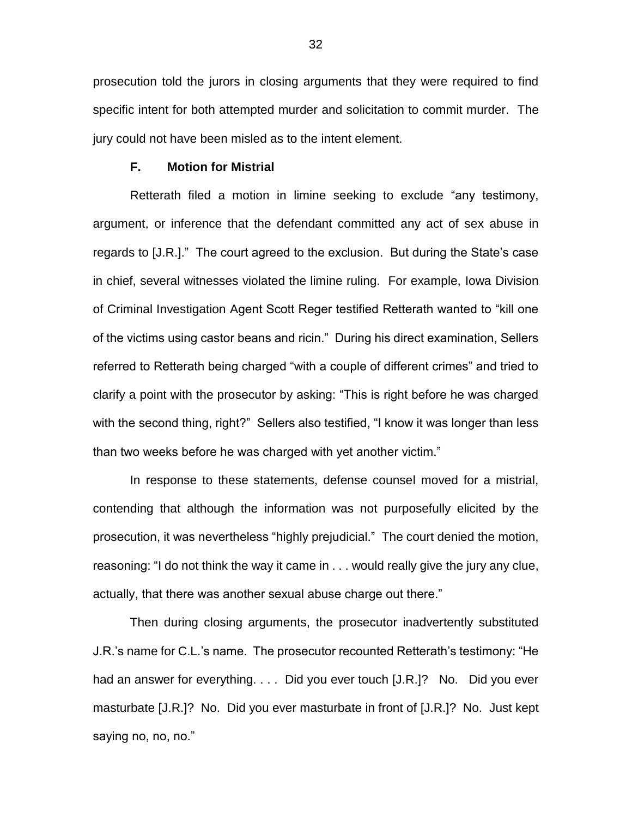prosecution told the jurors in closing arguments that they were required to find specific intent for both attempted murder and solicitation to commit murder. The jury could not have been misled as to the intent element.

### **F. Motion for Mistrial**

Retterath filed a motion in limine seeking to exclude "any testimony, argument, or inference that the defendant committed any act of sex abuse in regards to [J.R.]." The court agreed to the exclusion. But during the State's case in chief, several witnesses violated the limine ruling. For example, Iowa Division of Criminal Investigation Agent Scott Reger testified Retterath wanted to "kill one of the victims using castor beans and ricin." During his direct examination, Sellers referred to Retterath being charged "with a couple of different crimes" and tried to clarify a point with the prosecutor by asking: "This is right before he was charged with the second thing, right?" Sellers also testified, "I know it was longer than less than two weeks before he was charged with yet another victim."

In response to these statements, defense counsel moved for a mistrial, contending that although the information was not purposefully elicited by the prosecution, it was nevertheless "highly prejudicial." The court denied the motion, reasoning: "I do not think the way it came in . . . would really give the jury any clue, actually, that there was another sexual abuse charge out there."

Then during closing arguments, the prosecutor inadvertently substituted J.R.'s name for C.L.'s name. The prosecutor recounted Retterath's testimony: "He had an answer for everything. . . . Did you ever touch [J.R.]? No. Did you ever masturbate [J.R.]? No. Did you ever masturbate in front of [J.R.]? No. Just kept saying no, no, no."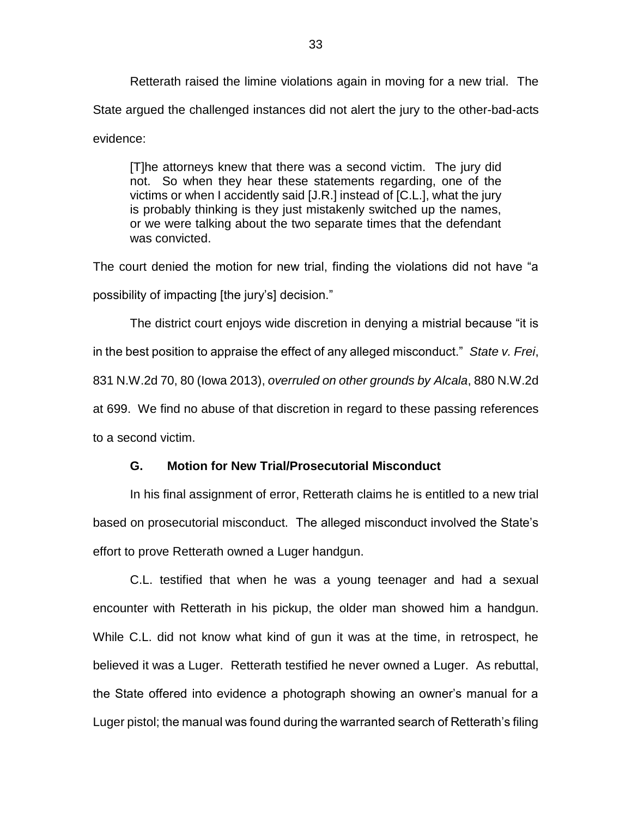Retterath raised the limine violations again in moving for a new trial. The State argued the challenged instances did not alert the jury to the other-bad-acts evidence:

[T]he attorneys knew that there was a second victim. The jury did not. So when they hear these statements regarding, one of the victims or when I accidently said [J.R.] instead of [C.L.], what the jury is probably thinking is they just mistakenly switched up the names, or we were talking about the two separate times that the defendant was convicted.

The court denied the motion for new trial, finding the violations did not have "a possibility of impacting [the jury's] decision."

The district court enjoys wide discretion in denying a mistrial because "it is in the best position to appraise the effect of any alleged misconduct." *State v. Frei*, 831 N.W.2d 70, 80 (Iowa 2013), *overruled on other grounds by Alcala*, 880 N.W.2d at 699. We find no abuse of that discretion in regard to these passing references to a second victim.

### **G. Motion for New Trial/Prosecutorial Misconduct**

In his final assignment of error, Retterath claims he is entitled to a new trial based on prosecutorial misconduct. The alleged misconduct involved the State's effort to prove Retterath owned a Luger handgun.

C.L. testified that when he was a young teenager and had a sexual encounter with Retterath in his pickup, the older man showed him a handgun. While C.L. did not know what kind of gun it was at the time, in retrospect, he believed it was a Luger. Retterath testified he never owned a Luger. As rebuttal, the State offered into evidence a photograph showing an owner's manual for a Luger pistol; the manual was found during the warranted search of Retterath's filing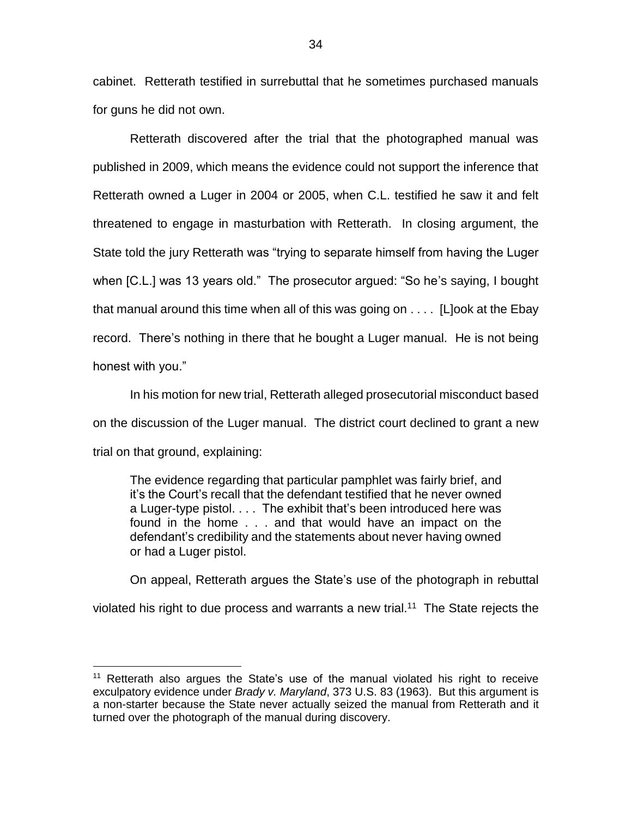cabinet. Retterath testified in surrebuttal that he sometimes purchased manuals for guns he did not own.

Retterath discovered after the trial that the photographed manual was published in 2009, which means the evidence could not support the inference that Retterath owned a Luger in 2004 or 2005, when C.L. testified he saw it and felt threatened to engage in masturbation with Retterath. In closing argument, the State told the jury Retterath was "trying to separate himself from having the Luger when [C.L.] was 13 years old." The prosecutor argued: "So he's saying, I bought that manual around this time when all of this was going on . . . . [L]ook at the Ebay record. There's nothing in there that he bought a Luger manual. He is not being honest with you."

In his motion for new trial, Retterath alleged prosecutorial misconduct based on the discussion of the Luger manual. The district court declined to grant a new trial on that ground, explaining:

The evidence regarding that particular pamphlet was fairly brief, and it's the Court's recall that the defendant testified that he never owned a Luger-type pistol. . . . The exhibit that's been introduced here was found in the home . . . and that would have an impact on the defendant's credibility and the statements about never having owned or had a Luger pistol.

On appeal, Retterath argues the State's use of the photograph in rebuttal violated his right to due process and warrants a new trial.<sup>11</sup> The State rejects the

 $\overline{a}$ 

<sup>11</sup> Retterath also argues the State's use of the manual violated his right to receive exculpatory evidence under *Brady v. Maryland*, 373 U.S. 83 (1963). But this argument is a non-starter because the State never actually seized the manual from Retterath and it turned over the photograph of the manual during discovery.